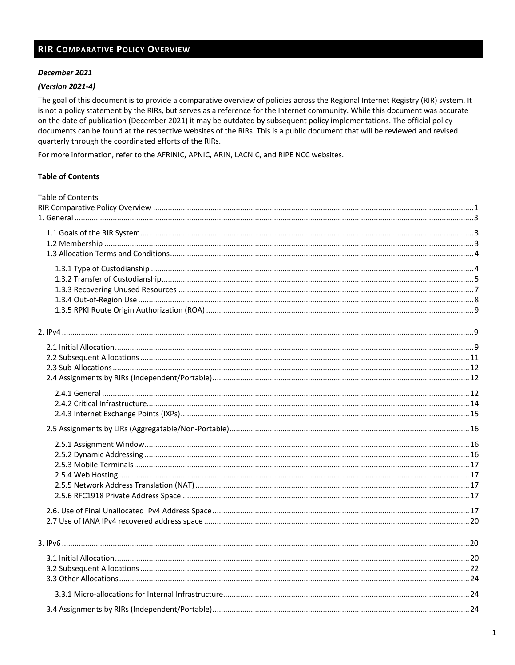#### **RIR COMPARATIVE POLICY OVERVIEW**

#### December 2021

#### (Version 2021-4)

The goal of this document is to provide a comparative overview of policies across the Regional Internet Registry (RIR) system. It is not a policy statement by the RIRs, but serves as a reference for the Internet community. While this document was accurate on the date of publication (December 2021) it may be outdated by subsequent policy implementations. The official policy documents can be found at the respective websites of the RIRs. This is a public document that will be reviewed and revised quarterly through the coordinated efforts of the RIRs.

For more information, refer to the AFRINIC, APNIC, ARIN, LACNIC, and RIPE NCC websites.

#### **Table of Contents**

| <b>Table of Contents</b> |  |
|--------------------------|--|
|                          |  |
|                          |  |
|                          |  |
|                          |  |
|                          |  |
|                          |  |
|                          |  |
|                          |  |
|                          |  |
|                          |  |
|                          |  |
|                          |  |
|                          |  |
|                          |  |
|                          |  |
|                          |  |
|                          |  |
|                          |  |
|                          |  |
|                          |  |
|                          |  |
|                          |  |
|                          |  |
|                          |  |
|                          |  |
|                          |  |
|                          |  |
|                          |  |
|                          |  |
|                          |  |
|                          |  |
|                          |  |
|                          |  |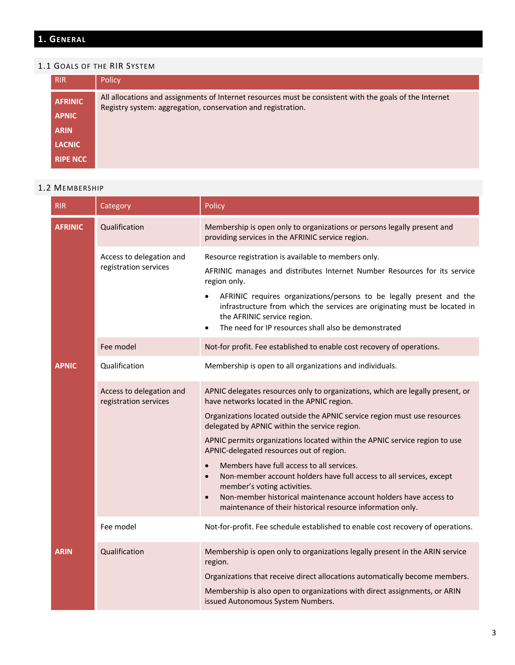## **1. GENERAL**

#### 1.1 GOALS OF THE RIR SYSTEM

| <b>RIR</b>                     | Policy                                                                                                                                                                  |
|--------------------------------|-------------------------------------------------------------------------------------------------------------------------------------------------------------------------|
| <b>AFRINIC</b><br><b>APNIC</b> | All allocations and assignments of Internet resources must be consistent with the goals of the Internet<br>Registry system: aggregation, conservation and registration. |
| <b>ARIN</b>                    |                                                                                                                                                                         |
| <b>LACNIC</b>                  |                                                                                                                                                                         |
| <b>RIPE NCC</b>                |                                                                                                                                                                         |

#### 1.2 MEMBERSHIP

|  | <b>RIR</b>     | Category                                          | Policy                                                                                                                                                                                                                                                                                                                                                                                                                                                                                                                                                                                                                                                                                                           |
|--|----------------|---------------------------------------------------|------------------------------------------------------------------------------------------------------------------------------------------------------------------------------------------------------------------------------------------------------------------------------------------------------------------------------------------------------------------------------------------------------------------------------------------------------------------------------------------------------------------------------------------------------------------------------------------------------------------------------------------------------------------------------------------------------------------|
|  | <b>AFRINIC</b> | Qualification                                     | Membership is open only to organizations or persons legally present and<br>providing services in the AFRINIC service region.                                                                                                                                                                                                                                                                                                                                                                                                                                                                                                                                                                                     |
|  |                | Access to delegation and<br>registration services | Resource registration is available to members only.<br>AFRINIC manages and distributes Internet Number Resources for its service<br>region only.<br>AFRINIC requires organizations/persons to be legally present and the<br>$\bullet$<br>infrastructure from which the services are originating must be located in<br>the AFRINIC service region.<br>The need for IP resources shall also be demonstrated<br>$\bullet$                                                                                                                                                                                                                                                                                           |
|  |                | Fee model                                         | Not-for profit. Fee established to enable cost recovery of operations.                                                                                                                                                                                                                                                                                                                                                                                                                                                                                                                                                                                                                                           |
|  | <b>APNIC</b>   | Qualification                                     | Membership is open to all organizations and individuals.                                                                                                                                                                                                                                                                                                                                                                                                                                                                                                                                                                                                                                                         |
|  |                | Access to delegation and<br>registration services | APNIC delegates resources only to organizations, which are legally present, or<br>have networks located in the APNIC region.<br>Organizations located outside the APNIC service region must use resources<br>delegated by APNIC within the service region.<br>APNIC permits organizations located within the APNIC service region to use<br>APNIC-delegated resources out of region.<br>Members have full access to all services.<br>$\bullet$<br>Non-member account holders have full access to all services, except<br>$\bullet$<br>member's voting activities.<br>Non-member historical maintenance account holders have access to<br>$\bullet$<br>maintenance of their historical resource information only. |
|  |                | Fee model                                         | Not-for-profit. Fee schedule established to enable cost recovery of operations.                                                                                                                                                                                                                                                                                                                                                                                                                                                                                                                                                                                                                                  |
|  | <b>ARIN</b>    | Qualification                                     | Membership is open only to organizations legally present in the ARIN service<br>region.<br>Organizations that receive direct allocations automatically become members.<br>Membership is also open to organizations with direct assignments, or ARIN<br>issued Autonomous System Numbers.                                                                                                                                                                                                                                                                                                                                                                                                                         |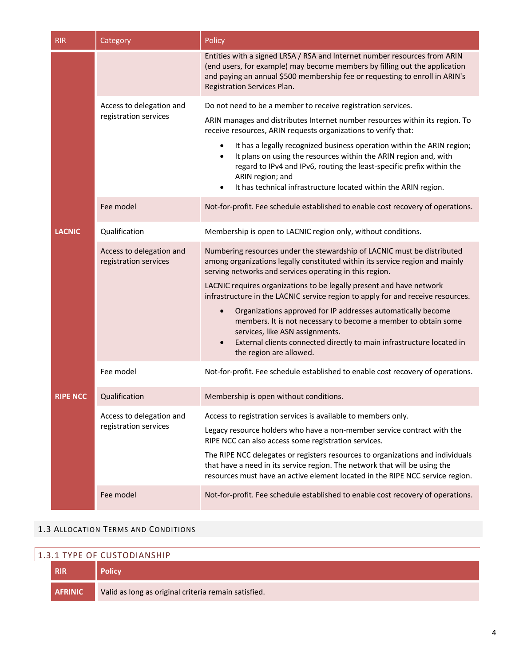| <b>RIR</b>      | Category                                          | Policy                                                                                                                                                                                                                                                                                                                                                                                                                                                                                                                                                                                                                                                                           |  |
|-----------------|---------------------------------------------------|----------------------------------------------------------------------------------------------------------------------------------------------------------------------------------------------------------------------------------------------------------------------------------------------------------------------------------------------------------------------------------------------------------------------------------------------------------------------------------------------------------------------------------------------------------------------------------------------------------------------------------------------------------------------------------|--|
|                 |                                                   | Entities with a signed LRSA / RSA and Internet number resources from ARIN<br>(end users, for example) may become members by filling out the application<br>and paying an annual \$500 membership fee or requesting to enroll in ARIN's<br>Registration Services Plan.                                                                                                                                                                                                                                                                                                                                                                                                            |  |
|                 | Access to delegation and                          | Do not need to be a member to receive registration services.                                                                                                                                                                                                                                                                                                                                                                                                                                                                                                                                                                                                                     |  |
|                 | registration services                             | ARIN manages and distributes Internet number resources within its region. To<br>receive resources, ARIN requests organizations to verify that:                                                                                                                                                                                                                                                                                                                                                                                                                                                                                                                                   |  |
|                 |                                                   | It has a legally recognized business operation within the ARIN region;<br>$\bullet$<br>It plans on using the resources within the ARIN region and, with<br>$\bullet$<br>regard to IPv4 and IPv6, routing the least-specific prefix within the<br>ARIN region; and<br>It has technical infrastructure located within the ARIN region.<br>$\bullet$                                                                                                                                                                                                                                                                                                                                |  |
|                 | Fee model                                         | Not-for-profit. Fee schedule established to enable cost recovery of operations.                                                                                                                                                                                                                                                                                                                                                                                                                                                                                                                                                                                                  |  |
| <b>LACNIC</b>   | Qualification                                     | Membership is open to LACNIC region only, without conditions.                                                                                                                                                                                                                                                                                                                                                                                                                                                                                                                                                                                                                    |  |
|                 | Access to delegation and<br>registration services | Numbering resources under the stewardship of LACNIC must be distributed<br>among organizations legally constituted within its service region and mainly<br>serving networks and services operating in this region.<br>LACNIC requires organizations to be legally present and have network<br>infrastructure in the LACNIC service region to apply for and receive resources.<br>Organizations approved for IP addresses automatically become<br>$\bullet$<br>members. It is not necessary to become a member to obtain some<br>services, like ASN assignments.<br>External clients connected directly to main infrastructure located in<br>$\bullet$<br>the region are allowed. |  |
|                 | Fee model                                         | Not-for-profit. Fee schedule established to enable cost recovery of operations.                                                                                                                                                                                                                                                                                                                                                                                                                                                                                                                                                                                                  |  |
| <b>RIPE NCC</b> | Qualification                                     | Membership is open without conditions.                                                                                                                                                                                                                                                                                                                                                                                                                                                                                                                                                                                                                                           |  |
|                 | Access to delegation and<br>registration services | Access to registration services is available to members only.<br>Legacy resource holders who have a non-member service contract with the<br>RIPE NCC can also access some registration services.<br>The RIPE NCC delegates or registers resources to organizations and individuals<br>that have a need in its service region. The network that will be using the<br>resources must have an active element located in the RIPE NCC service region.                                                                                                                                                                                                                                |  |
|                 | Fee model                                         | Not-for-profit. Fee schedule established to enable cost recovery of operations.                                                                                                                                                                                                                                                                                                                                                                                                                                                                                                                                                                                                  |  |

#### 1.3 ALLOCATION TERMS AND CONDITIONS

## 1.3.1 TYPE OF CUSTODIANSHIP

| <b>RIR</b>     |                                                      |  |
|----------------|------------------------------------------------------|--|
| <b>AFRINIC</b> | Valid as long as original criteria remain satisfied. |  |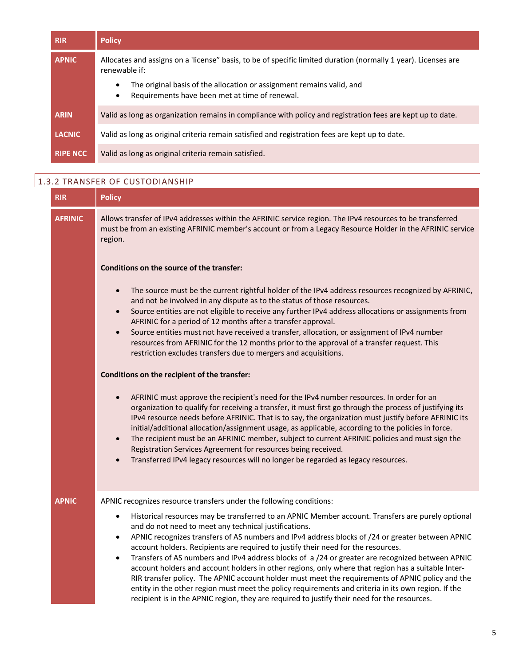| <b>RIR</b>      | <b>Policy</b>                                                                                                                                     |  |
|-----------------|---------------------------------------------------------------------------------------------------------------------------------------------------|--|
| <b>APNIC</b>    | Allocates and assigns on a 'license" basis, to be of specific limited duration (normally 1 year). Licenses are<br>renewable if:                   |  |
|                 | The original basis of the allocation or assignment remains valid, and<br>$\bullet$<br>Requirements have been met at time of renewal.<br>$\bullet$ |  |
| <b>ARIN</b>     | Valid as long as organization remains in compliance with policy and registration fees are kept up to date.                                        |  |
| <b>LACNIC</b>   | Valid as long as original criteria remain satisfied and registration fees are kept up to date.                                                    |  |
| <b>RIPE NCC</b> | Valid as long as original criteria remain satisfied.                                                                                              |  |

## 1.3.2 TRANSFER OF CUSTODIANSHIP

| <b>RIR</b>     | <b>Policy</b>                                                                                                                                                                                                                                                                                                                                                                                                                                                                                                                                                                                                                                                                                                                                                                                                                                                                                                   |  |
|----------------|-----------------------------------------------------------------------------------------------------------------------------------------------------------------------------------------------------------------------------------------------------------------------------------------------------------------------------------------------------------------------------------------------------------------------------------------------------------------------------------------------------------------------------------------------------------------------------------------------------------------------------------------------------------------------------------------------------------------------------------------------------------------------------------------------------------------------------------------------------------------------------------------------------------------|--|
| <b>AFRINIC</b> | Allows transfer of IPv4 addresses within the AFRINIC service region. The IPv4 resources to be transferred<br>must be from an existing AFRINIC member's account or from a Legacy Resource Holder in the AFRINIC service<br>region.                                                                                                                                                                                                                                                                                                                                                                                                                                                                                                                                                                                                                                                                               |  |
|                | Conditions on the source of the transfer:                                                                                                                                                                                                                                                                                                                                                                                                                                                                                                                                                                                                                                                                                                                                                                                                                                                                       |  |
|                | The source must be the current rightful holder of the IPv4 address resources recognized by AFRINIC,<br>$\bullet$<br>and not be involved in any dispute as to the status of those resources.<br>Source entities are not eligible to receive any further IPv4 address allocations or assignments from<br>$\bullet$<br>AFRINIC for a period of 12 months after a transfer approval.<br>Source entities must not have received a transfer, allocation, or assignment of IPv4 number<br>$\bullet$<br>resources from AFRINIC for the 12 months prior to the approval of a transfer request. This<br>restriction excludes transfers due to mergers and acquisitions.                                                                                                                                                                                                                                                   |  |
|                | Conditions on the recipient of the transfer:                                                                                                                                                                                                                                                                                                                                                                                                                                                                                                                                                                                                                                                                                                                                                                                                                                                                    |  |
|                | AFRINIC must approve the recipient's need for the IPv4 number resources. In order for an<br>organization to qualify for receiving a transfer, it must first go through the process of justifying its<br>IPv4 resource needs before AFRINIC. That is to say, the organization must justify before AFRINIC its<br>initial/additional allocation/assignment usage, as applicable, according to the policies in force.<br>The recipient must be an AFRINIC member, subject to current AFRINIC policies and must sign the<br>$\bullet$<br>Registration Services Agreement for resources being received.<br>Transferred IPv4 legacy resources will no longer be regarded as legacy resources.                                                                                                                                                                                                                         |  |
| <b>APNIC</b>   | APNIC recognizes resource transfers under the following conditions:                                                                                                                                                                                                                                                                                                                                                                                                                                                                                                                                                                                                                                                                                                                                                                                                                                             |  |
|                | Historical resources may be transferred to an APNIC Member account. Transfers are purely optional<br>$\bullet$<br>and do not need to meet any technical justifications.<br>APNIC recognizes transfers of AS numbers and IPv4 address blocks of /24 or greater between APNIC<br>$\bullet$<br>account holders. Recipients are required to justify their need for the resources.<br>Transfers of AS numbers and IPv4 address blocks of a /24 or greater are recognized between APNIC<br>$\bullet$<br>account holders and account holders in other regions, only where that region has a suitable Inter-<br>RIR transfer policy. The APNIC account holder must meet the requirements of APNIC policy and the<br>entity in the other region must meet the policy requirements and criteria in its own region. If the<br>recipient is in the APNIC region, they are required to justify their need for the resources. |  |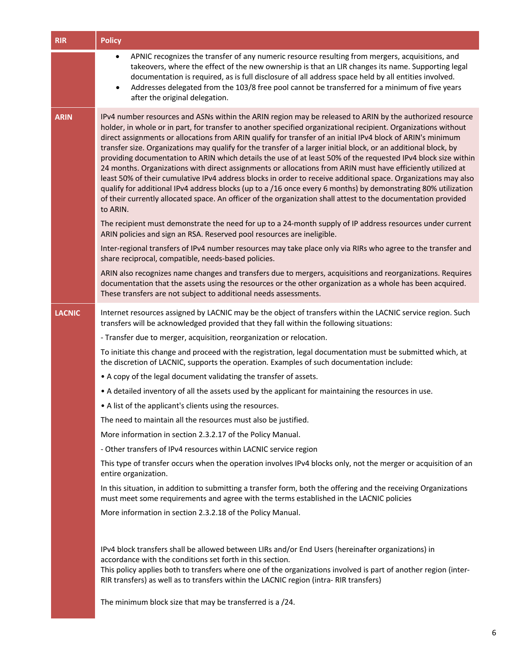| <b>RIR</b>    | <b>Policy</b>                                                                                                                                                                                                                                                                                                                                                                                                                                                                                                                                                                                                                                                                                                                                                                                                                                                                                                                                                                                                                                                |  |  |
|---------------|--------------------------------------------------------------------------------------------------------------------------------------------------------------------------------------------------------------------------------------------------------------------------------------------------------------------------------------------------------------------------------------------------------------------------------------------------------------------------------------------------------------------------------------------------------------------------------------------------------------------------------------------------------------------------------------------------------------------------------------------------------------------------------------------------------------------------------------------------------------------------------------------------------------------------------------------------------------------------------------------------------------------------------------------------------------|--|--|
|               | APNIC recognizes the transfer of any numeric resource resulting from mergers, acquisitions, and<br>$\bullet$<br>takeovers, where the effect of the new ownership is that an LIR changes its name. Supporting legal<br>documentation is required, as is full disclosure of all address space held by all entities involved.<br>Addresses delegated from the 103/8 free pool cannot be transferred for a minimum of five years<br>$\bullet$<br>after the original delegation.                                                                                                                                                                                                                                                                                                                                                                                                                                                                                                                                                                                  |  |  |
| <b>ARIN</b>   | IPv4 number resources and ASNs within the ARIN region may be released to ARIN by the authorized resource<br>holder, in whole or in part, for transfer to another specified organizational recipient. Organizations without<br>direct assignments or allocations from ARIN qualify for transfer of an initial IPv4 block of ARIN's minimum<br>transfer size. Organizations may qualify for the transfer of a larger initial block, or an additional block, by<br>providing documentation to ARIN which details the use of at least 50% of the requested IPv4 block size within<br>24 months. Organizations with direct assignments or allocations from ARIN must have efficiently utilized at<br>least 50% of their cumulative IPv4 address blocks in order to receive additional space. Organizations may also<br>qualify for additional IPv4 address blocks (up to a /16 once every 6 months) by demonstrating 80% utilization<br>of their currently allocated space. An officer of the organization shall attest to the documentation provided<br>to ARIN. |  |  |
|               | The recipient must demonstrate the need for up to a 24-month supply of IP address resources under current<br>ARIN policies and sign an RSA. Reserved pool resources are ineligible.                                                                                                                                                                                                                                                                                                                                                                                                                                                                                                                                                                                                                                                                                                                                                                                                                                                                          |  |  |
|               | Inter-regional transfers of IPv4 number resources may take place only via RIRs who agree to the transfer and<br>share reciprocal, compatible, needs-based policies.                                                                                                                                                                                                                                                                                                                                                                                                                                                                                                                                                                                                                                                                                                                                                                                                                                                                                          |  |  |
|               | ARIN also recognizes name changes and transfers due to mergers, acquisitions and reorganizations. Requires<br>documentation that the assets using the resources or the other organization as a whole has been acquired.<br>These transfers are not subject to additional needs assessments.                                                                                                                                                                                                                                                                                                                                                                                                                                                                                                                                                                                                                                                                                                                                                                  |  |  |
| <b>LACNIC</b> | Internet resources assigned by LACNIC may be the object of transfers within the LACNIC service region. Such<br>transfers will be acknowledged provided that they fall within the following situations:                                                                                                                                                                                                                                                                                                                                                                                                                                                                                                                                                                                                                                                                                                                                                                                                                                                       |  |  |
|               | - Transfer due to merger, acquisition, reorganization or relocation.                                                                                                                                                                                                                                                                                                                                                                                                                                                                                                                                                                                                                                                                                                                                                                                                                                                                                                                                                                                         |  |  |
|               | To initiate this change and proceed with the registration, legal documentation must be submitted which, at<br>the discretion of LACNIC, supports the operation. Examples of such documentation include:                                                                                                                                                                                                                                                                                                                                                                                                                                                                                                                                                                                                                                                                                                                                                                                                                                                      |  |  |
|               | • A copy of the legal document validating the transfer of assets.                                                                                                                                                                                                                                                                                                                                                                                                                                                                                                                                                                                                                                                                                                                                                                                                                                                                                                                                                                                            |  |  |
|               | . A detailed inventory of all the assets used by the applicant for maintaining the resources in use.                                                                                                                                                                                                                                                                                                                                                                                                                                                                                                                                                                                                                                                                                                                                                                                                                                                                                                                                                         |  |  |
|               | • A list of the applicant's clients using the resources.                                                                                                                                                                                                                                                                                                                                                                                                                                                                                                                                                                                                                                                                                                                                                                                                                                                                                                                                                                                                     |  |  |
|               | The need to maintain all the resources must also be justified.                                                                                                                                                                                                                                                                                                                                                                                                                                                                                                                                                                                                                                                                                                                                                                                                                                                                                                                                                                                               |  |  |
|               | More information in section 2.3.2.17 of the Policy Manual.                                                                                                                                                                                                                                                                                                                                                                                                                                                                                                                                                                                                                                                                                                                                                                                                                                                                                                                                                                                                   |  |  |
|               | - Other transfers of IPv4 resources within LACNIC service region                                                                                                                                                                                                                                                                                                                                                                                                                                                                                                                                                                                                                                                                                                                                                                                                                                                                                                                                                                                             |  |  |
|               | This type of transfer occurs when the operation involves IPv4 blocks only, not the merger or acquisition of an<br>entire organization.                                                                                                                                                                                                                                                                                                                                                                                                                                                                                                                                                                                                                                                                                                                                                                                                                                                                                                                       |  |  |
|               | In this situation, in addition to submitting a transfer form, both the offering and the receiving Organizations<br>must meet some requirements and agree with the terms established in the LACNIC policies                                                                                                                                                                                                                                                                                                                                                                                                                                                                                                                                                                                                                                                                                                                                                                                                                                                   |  |  |
|               | More information in section 2.3.2.18 of the Policy Manual.                                                                                                                                                                                                                                                                                                                                                                                                                                                                                                                                                                                                                                                                                                                                                                                                                                                                                                                                                                                                   |  |  |
|               | IPv4 block transfers shall be allowed between LIRs and/or End Users (hereinafter organizations) in<br>accordance with the conditions set forth in this section.<br>This policy applies both to transfers where one of the organizations involved is part of another region (inter-<br>RIR transfers) as well as to transfers within the LACNIC region (intra-RIR transfers)                                                                                                                                                                                                                                                                                                                                                                                                                                                                                                                                                                                                                                                                                  |  |  |
|               | The minimum block size that may be transferred is a /24.                                                                                                                                                                                                                                                                                                                                                                                                                                                                                                                                                                                                                                                                                                                                                                                                                                                                                                                                                                                                     |  |  |

6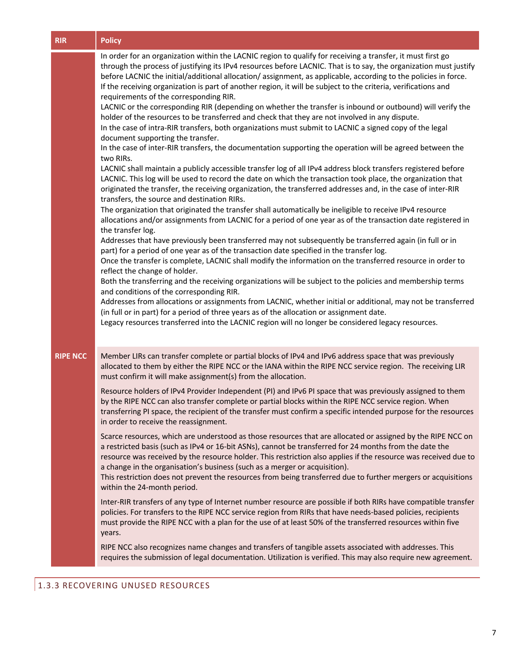| <b>RIR</b>      | <b>Policy</b>                                                                                                                                                                                                                                                                                                                                                                                                                                                                                                                                                                                                                                                                                                                                                                                                                                                                                                                                                                                                                                                                                                                                                                                                                                                                                                                                                                                                                                                                                                                                                                                                                                                                                                                                                                                                                                                                                                                                                                                                                                                                                                                                                                                                                                                                                                                                                                                                                                                                                  |  |  |
|-----------------|------------------------------------------------------------------------------------------------------------------------------------------------------------------------------------------------------------------------------------------------------------------------------------------------------------------------------------------------------------------------------------------------------------------------------------------------------------------------------------------------------------------------------------------------------------------------------------------------------------------------------------------------------------------------------------------------------------------------------------------------------------------------------------------------------------------------------------------------------------------------------------------------------------------------------------------------------------------------------------------------------------------------------------------------------------------------------------------------------------------------------------------------------------------------------------------------------------------------------------------------------------------------------------------------------------------------------------------------------------------------------------------------------------------------------------------------------------------------------------------------------------------------------------------------------------------------------------------------------------------------------------------------------------------------------------------------------------------------------------------------------------------------------------------------------------------------------------------------------------------------------------------------------------------------------------------------------------------------------------------------------------------------------------------------------------------------------------------------------------------------------------------------------------------------------------------------------------------------------------------------------------------------------------------------------------------------------------------------------------------------------------------------------------------------------------------------------------------------------------------------|--|--|
|                 | In order for an organization within the LACNIC region to qualify for receiving a transfer, it must first go<br>through the process of justifying its IPv4 resources before LACNIC. That is to say, the organization must justify<br>before LACNIC the initial/additional allocation/ assignment, as applicable, according to the policies in force.<br>If the receiving organization is part of another region, it will be subject to the criteria, verifications and<br>requirements of the corresponding RIR.<br>LACNIC or the corresponding RIR (depending on whether the transfer is inbound or outbound) will verify the<br>holder of the resources to be transferred and check that they are not involved in any dispute.<br>In the case of intra-RIR transfers, both organizations must submit to LACNIC a signed copy of the legal<br>document supporting the transfer.<br>In the case of inter-RIR transfers, the documentation supporting the operation will be agreed between the<br>two RIRs.<br>LACNIC shall maintain a publicly accessible transfer log of all IPv4 address block transfers registered before<br>LACNIC. This log will be used to record the date on which the transaction took place, the organization that<br>originated the transfer, the receiving organization, the transferred addresses and, in the case of inter-RIR<br>transfers, the source and destination RIRs.<br>The organization that originated the transfer shall automatically be ineligible to receive IPv4 resource<br>allocations and/or assignments from LACNIC for a period of one year as of the transaction date registered in<br>the transfer log.<br>Addresses that have previously been transferred may not subsequently be transferred again (in full or in<br>part) for a period of one year as of the transaction date specified in the transfer log.<br>Once the transfer is complete, LACNIC shall modify the information on the transferred resource in order to<br>reflect the change of holder.<br>Both the transferring and the receiving organizations will be subject to the policies and membership terms<br>and conditions of the corresponding RIR.<br>Addresses from allocations or assignments from LACNIC, whether initial or additional, may not be transferred<br>(in full or in part) for a period of three years as of the allocation or assignment date.<br>Legacy resources transferred into the LACNIC region will no longer be considered legacy resources. |  |  |
| <b>RIPE NCC</b> | Member LIRs can transfer complete or partial blocks of IPv4 and IPv6 address space that was previously<br>allocated to them by either the RIPE NCC or the IANA within the RIPE NCC service region. The receiving LIR<br>must confirm it will make assignment(s) from the allocation.<br>Resource holders of IPv4 Provider Independent (PI) and IPv6 PI space that was previously assigned to them<br>by the RIPE NCC can also transfer complete or partial blocks within the RIPE NCC service region. When<br>transferring PI space, the recipient of the transfer must confirm a specific intended purpose for the resources<br>in order to receive the reassignment.<br>Scarce resources, which are understood as those resources that are allocated or assigned by the RIPE NCC on<br>a restricted basis (such as IPv4 or 16-bit ASNs), cannot be transferred for 24 months from the date the<br>resource was received by the resource holder. This restriction also applies if the resource was received due to<br>a change in the organisation's business (such as a merger or acquisition).<br>This restriction does not prevent the resources from being transferred due to further mergers or acquisitions<br>within the 24-month period.<br>Inter-RIR transfers of any type of Internet number resource are possible if both RIRs have compatible transfer<br>policies. For transfers to the RIPE NCC service region from RIRs that have needs-based policies, recipients<br>must provide the RIPE NCC with a plan for the use of at least 50% of the transferred resources within five<br>years.<br>RIPE NCC also recognizes name changes and transfers of tangible assets associated with addresses. This<br>requires the submission of legal documentation. Utilization is verified. This may also require new agreement.                                                                                                                                                                                                                                                                                                                                                                                                                                                                                                                                                                                                                                                          |  |  |
|                 |                                                                                                                                                                                                                                                                                                                                                                                                                                                                                                                                                                                                                                                                                                                                                                                                                                                                                                                                                                                                                                                                                                                                                                                                                                                                                                                                                                                                                                                                                                                                                                                                                                                                                                                                                                                                                                                                                                                                                                                                                                                                                                                                                                                                                                                                                                                                                                                                                                                                                                |  |  |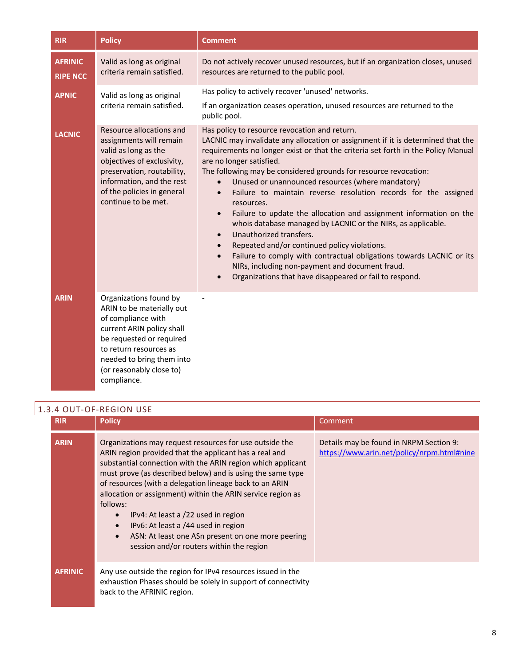| <b>RIR</b>                        | <b>Policy</b>                                                                                                                                                                                                                        | <b>Comment</b>                                                                                                                                                                                                                                                                                                                                                                                                                                                                                                                                                                                                                                                                                                                                                                                                                                                                                                                                               |
|-----------------------------------|--------------------------------------------------------------------------------------------------------------------------------------------------------------------------------------------------------------------------------------|--------------------------------------------------------------------------------------------------------------------------------------------------------------------------------------------------------------------------------------------------------------------------------------------------------------------------------------------------------------------------------------------------------------------------------------------------------------------------------------------------------------------------------------------------------------------------------------------------------------------------------------------------------------------------------------------------------------------------------------------------------------------------------------------------------------------------------------------------------------------------------------------------------------------------------------------------------------|
| <b>AFRINIC</b><br><b>RIPE NCC</b> | Valid as long as original<br>criteria remain satisfied.                                                                                                                                                                              | Do not actively recover unused resources, but if an organization closes, unused<br>resources are returned to the public pool.                                                                                                                                                                                                                                                                                                                                                                                                                                                                                                                                                                                                                                                                                                                                                                                                                                |
| <b>APNIC</b>                      | Valid as long as original<br>criteria remain satisfied.                                                                                                                                                                              | Has policy to actively recover 'unused' networks.<br>If an organization ceases operation, unused resources are returned to the<br>public pool.                                                                                                                                                                                                                                                                                                                                                                                                                                                                                                                                                                                                                                                                                                                                                                                                               |
| <b>LACNIC</b>                     | Resource allocations and<br>assignments will remain<br>valid as long as the<br>objectives of exclusivity,<br>preservation, routability,<br>information, and the rest<br>of the policies in general<br>continue to be met.            | Has policy to resource revocation and return.<br>LACNIC may invalidate any allocation or assignment if it is determined that the<br>requirements no longer exist or that the criteria set forth in the Policy Manual<br>are no longer satisfied.<br>The following may be considered grounds for resource revocation:<br>Unused or unannounced resources (where mandatory)<br>$\bullet$<br>Failure to maintain reverse resolution records for the assigned<br>$\bullet$<br>resources.<br>Failure to update the allocation and assignment information on the<br>$\bullet$<br>whois database managed by LACNIC or the NIRs, as applicable.<br>Unauthorized transfers.<br>$\bullet$<br>Repeated and/or continued policy violations.<br>$\bullet$<br>Failure to comply with contractual obligations towards LACNIC or its<br>$\bullet$<br>NIRs, including non-payment and document fraud.<br>Organizations that have disappeared or fail to respond.<br>$\bullet$ |
| <b>ARIN</b>                       | Organizations found by<br>ARIN to be materially out<br>of compliance with<br>current ARIN policy shall<br>be requested or required<br>to return resources as<br>needed to bring them into<br>(or reasonably close to)<br>compliance. |                                                                                                                                                                                                                                                                                                                                                                                                                                                                                                                                                                                                                                                                                                                                                                                                                                                                                                                                                              |

## 1.3.4 OUT-OF-REGION USE

| <b>RIR</b>     | <b>Policy</b>                                                                                                                                                                                                                                                                                                                                                                                                                                                                                                                                                                                              | Comment                                                                               |
|----------------|------------------------------------------------------------------------------------------------------------------------------------------------------------------------------------------------------------------------------------------------------------------------------------------------------------------------------------------------------------------------------------------------------------------------------------------------------------------------------------------------------------------------------------------------------------------------------------------------------------|---------------------------------------------------------------------------------------|
| <b>ARIN</b>    | Organizations may request resources for use outside the<br>ARIN region provided that the applicant has a real and<br>substantial connection with the ARIN region which applicant<br>must prove (as described below) and is using the same type<br>of resources (with a delegation lineage back to an ARIN<br>allocation or assignment) within the ARIN service region as<br>follows:<br>IPv4: At least a /22 used in region<br>$\bullet$<br>IPv6: At least a /44 used in region<br>$\bullet$<br>ASN: At least one ASn present on one more peering<br>$\bullet$<br>session and/or routers within the region | Details may be found in NRPM Section 9:<br>https://www.arin.net/policy/nrpm.html#nine |
| <b>AFRINIC</b> | Any use outside the region for IPv4 resources issued in the<br>exhaustion Phases should be solely in support of connectivity<br>back to the AFRINIC region.                                                                                                                                                                                                                                                                                                                                                                                                                                                |                                                                                       |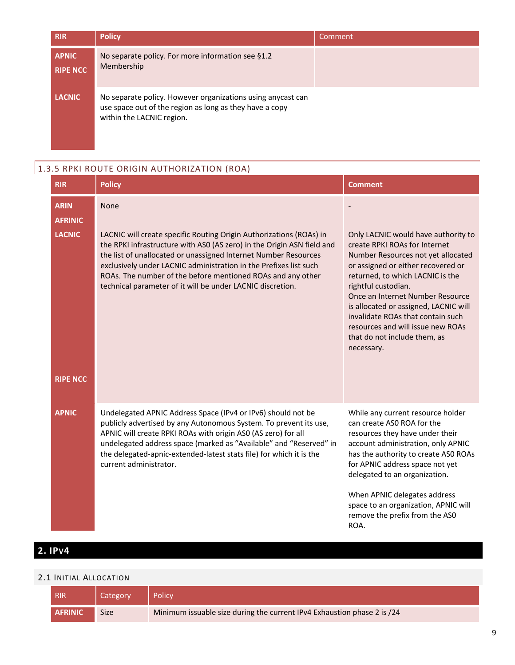| <b>RIR</b>                      | <b>Policy</b>                                                                                                                                        | 'Comment |
|---------------------------------|------------------------------------------------------------------------------------------------------------------------------------------------------|----------|
| <b>APNIC</b><br><b>RIPE NCC</b> | No separate policy. For more information see §1.2<br>Membership                                                                                      |          |
| <b>LACNIC</b>                   | No separate policy. However organizations using any cast can<br>use space out of the region as long as they have a copy<br>within the LACNIC region. |          |

## 1.3.5 RPKI ROUTE ORIGIN AUTHORIZATION (ROA)

| <b>RIR</b>                                                        | <b>Policy</b>                                                                                                                                                                                                                                                                                                                                                                                                              | <b>Comment</b>                                                                                                                                                                                                                                                                                                                                                                                                   |
|-------------------------------------------------------------------|----------------------------------------------------------------------------------------------------------------------------------------------------------------------------------------------------------------------------------------------------------------------------------------------------------------------------------------------------------------------------------------------------------------------------|------------------------------------------------------------------------------------------------------------------------------------------------------------------------------------------------------------------------------------------------------------------------------------------------------------------------------------------------------------------------------------------------------------------|
| <b>ARIN</b><br><b>AFRINIC</b><br><b>LACNIC</b><br><b>RIPE NCC</b> | None<br>LACNIC will create specific Routing Origin Authorizations (ROAs) in<br>the RPKI infrastructure with ASO (AS zero) in the Origin ASN field and<br>the list of unallocated or unassigned Internet Number Resources<br>exclusively under LACNIC administration in the Prefixes list such<br>ROAs. The number of the before mentioned ROAs and any other<br>technical parameter of it will be under LACNIC discretion. | Only LACNIC would have authority to<br>create RPKI ROAs for Internet<br>Number Resources not yet allocated<br>or assigned or either recovered or<br>returned, to which LACNIC is the<br>rightful custodian.<br>Once an Internet Number Resource<br>is allocated or assigned, LACNIC will<br>invalidate ROAs that contain such<br>resources and will issue new ROAs<br>that do not include them, as<br>necessary. |
| <b>APNIC</b>                                                      | Undelegated APNIC Address Space (IPv4 or IPv6) should not be<br>publicly advertised by any Autonomous System. To prevent its use,<br>APNIC will create RPKI ROAs with origin AS0 (AS zero) for all<br>undelegated address space (marked as "Available" and "Reserved" in<br>the delegated-apnic-extended-latest stats file) for which it is the<br>current administrator.                                                  | While any current resource holder<br>can create ASO ROA for the<br>resources they have under their<br>account administration, only APNIC<br>has the authority to create ASO ROAs<br>for APNIC address space not yet<br>delegated to an organization.<br>When APNIC delegates address<br>space to an organization, APNIC will<br>remove the prefix from the ASO<br>ROA.                                           |

# **2. IPV4**

#### 2.1 INITIAL ALLOCATION

| RIR            | <b>Category</b> | Policy                                                                  |
|----------------|-----------------|-------------------------------------------------------------------------|
| <b>AFRINIC</b> | <b>Size</b>     | Minimum issuable size during the current IPv4 Exhaustion phase 2 is /24 |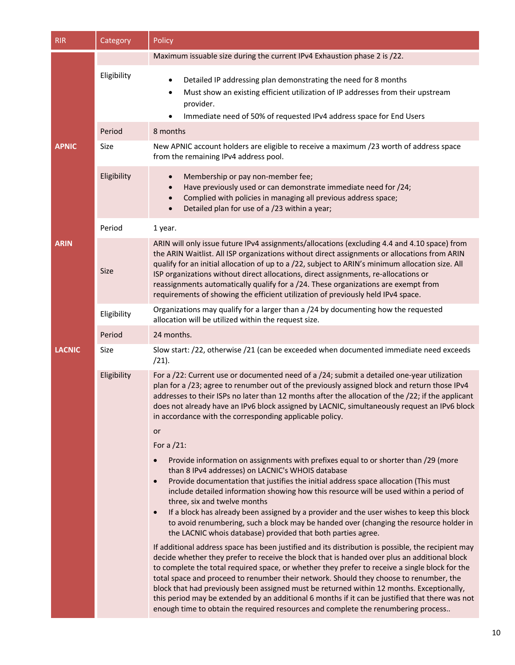| <b>RIR</b>    | Category    | Policy                                                                                                                                                                                                                                                                                                                                                                                                                                                                                                                                                                                                                                                                              |  |  |
|---------------|-------------|-------------------------------------------------------------------------------------------------------------------------------------------------------------------------------------------------------------------------------------------------------------------------------------------------------------------------------------------------------------------------------------------------------------------------------------------------------------------------------------------------------------------------------------------------------------------------------------------------------------------------------------------------------------------------------------|--|--|
|               |             | Maximum issuable size during the current IPv4 Exhaustion phase 2 is /22.                                                                                                                                                                                                                                                                                                                                                                                                                                                                                                                                                                                                            |  |  |
|               | Eligibility | Detailed IP addressing plan demonstrating the need for 8 months<br>Must show an existing efficient utilization of IP addresses from their upstream<br>provider.<br>Immediate need of 50% of requested IPv4 address space for End Users                                                                                                                                                                                                                                                                                                                                                                                                                                              |  |  |
|               | Period      | 8 months                                                                                                                                                                                                                                                                                                                                                                                                                                                                                                                                                                                                                                                                            |  |  |
| <b>APNIC</b>  | Size        | New APNIC account holders are eligible to receive a maximum /23 worth of address space<br>from the remaining IPv4 address pool.                                                                                                                                                                                                                                                                                                                                                                                                                                                                                                                                                     |  |  |
|               | Eligibility | Membership or pay non-member fee;<br>$\bullet$<br>Have previously used or can demonstrate immediate need for /24;<br>Complied with policies in managing all previous address space;<br>Detailed plan for use of a /23 within a year;                                                                                                                                                                                                                                                                                                                                                                                                                                                |  |  |
|               | Period      | 1 year.                                                                                                                                                                                                                                                                                                                                                                                                                                                                                                                                                                                                                                                                             |  |  |
| <b>ARIN</b>   | <b>Size</b> | ARIN will only issue future IPv4 assignments/allocations (excluding 4.4 and 4.10 space) from<br>the ARIN Waitlist. All ISP organizations without direct assignments or allocations from ARIN<br>qualify for an initial allocation of up to a /22, subject to ARIN's minimum allocation size. All<br>ISP organizations without direct allocations, direct assignments, re-allocations or<br>reassignments automatically qualify for a /24. These organizations are exempt from<br>requirements of showing the efficient utilization of previously held IPv4 space.                                                                                                                   |  |  |
|               | Eligibility | Organizations may qualify for a larger than a /24 by documenting how the requested<br>allocation will be utilized within the request size.                                                                                                                                                                                                                                                                                                                                                                                                                                                                                                                                          |  |  |
|               | Period      | 24 months.                                                                                                                                                                                                                                                                                                                                                                                                                                                                                                                                                                                                                                                                          |  |  |
| <b>LACNIC</b> | Size        | Slow start: /22, otherwise /21 (can be exceeded when documented immediate need exceeds<br>(21).                                                                                                                                                                                                                                                                                                                                                                                                                                                                                                                                                                                     |  |  |
|               | Eligibility | For a /22: Current use or documented need of a /24; submit a detailed one-year utilization<br>plan for a /23; agree to renumber out of the previously assigned block and return those IPv4<br>addresses to their ISPs no later than 12 months after the allocation of the /22; if the applicant<br>does not already have an IPv6 block assigned by LACNIC, simultaneously request an IPv6 block<br>in accordance with the corresponding applicable policy.<br>or                                                                                                                                                                                                                    |  |  |
|               |             | For a $/21$ :                                                                                                                                                                                                                                                                                                                                                                                                                                                                                                                                                                                                                                                                       |  |  |
|               |             | Provide information on assignments with prefixes equal to or shorter than /29 (more<br>than 8 IPv4 addresses) on LACNIC's WHOIS database<br>Provide documentation that justifies the initial address space allocation (This must<br>$\bullet$<br>include detailed information showing how this resource will be used within a period of<br>three, six and twelve months<br>If a block has already been assigned by a provider and the user wishes to keep this block<br>$\bullet$<br>to avoid renumbering, such a block may be handed over (changing the resource holder in<br>the LACNIC whois database) provided that both parties agree.                                         |  |  |
|               |             | If additional address space has been justified and its distribution is possible, the recipient may<br>decide whether they prefer to receive the block that is handed over plus an additional block<br>to complete the total required space, or whether they prefer to receive a single block for the<br>total space and proceed to renumber their network. Should they choose to renumber, the<br>block that had previously been assigned must be returned within 12 months. Exceptionally,<br>this period may be extended by an additional 6 months if it can be justified that there was not<br>enough time to obtain the required resources and complete the renumbering process |  |  |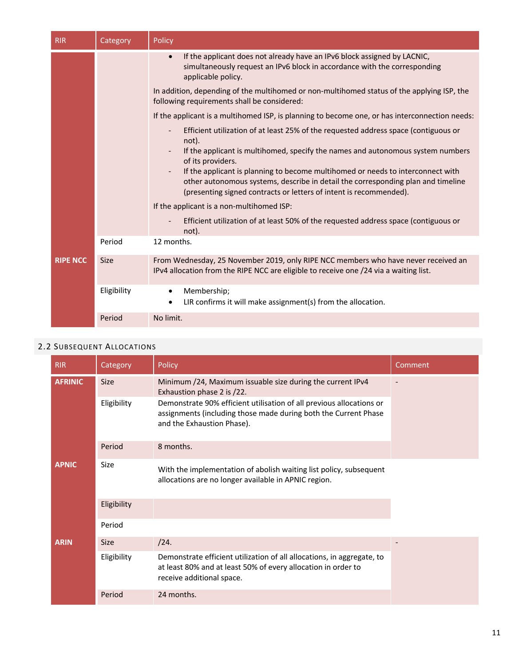| <b>RIR</b>      | Category    | Policy                                                                                                                                                                                                                                    |
|-----------------|-------------|-------------------------------------------------------------------------------------------------------------------------------------------------------------------------------------------------------------------------------------------|
|                 |             | If the applicant does not already have an IPv6 block assigned by LACNIC,<br>$\bullet$<br>simultaneously request an IPv6 block in accordance with the corresponding<br>applicable policy.                                                  |
|                 |             | In addition, depending of the multihomed or non-multihomed status of the applying ISP, the<br>following requirements shall be considered:                                                                                                 |
|                 |             | If the applicant is a multihomed ISP, is planning to become one, or has interconnection needs:                                                                                                                                            |
|                 |             | Efficient utilization of at least 25% of the requested address space (contiguous or<br>not).                                                                                                                                              |
|                 |             | If the applicant is multihomed, specify the names and autonomous system numbers<br>of its providers.                                                                                                                                      |
|                 |             | If the applicant is planning to become multihomed or needs to interconnect with<br>other autonomous systems, describe in detail the corresponding plan and timeline<br>(presenting signed contracts or letters of intent is recommended). |
|                 |             | If the applicant is a non-multihomed ISP:                                                                                                                                                                                                 |
|                 |             | Efficient utilization of at least 50% of the requested address space (contiguous or<br>not).                                                                                                                                              |
|                 | Period      | 12 months.                                                                                                                                                                                                                                |
| <b>RIPE NCC</b> | <b>Size</b> | From Wednesday, 25 November 2019, only RIPE NCC members who have never received an<br>IPv4 allocation from the RIPE NCC are eligible to receive one /24 via a waiting list.                                                               |
|                 | Eligibility | Membership;<br>$\bullet$<br>LIR confirms it will make assignment(s) from the allocation.<br>$\bullet$                                                                                                                                     |
|                 | Period      | No limit.                                                                                                                                                                                                                                 |

## 2.2 SUBSEQUENT ALLOCATIONS

| <b>RIR</b>     | Category    | Policy                                                                                                                                                                | Comment |
|----------------|-------------|-----------------------------------------------------------------------------------------------------------------------------------------------------------------------|---------|
| <b>AFRINIC</b> | <b>Size</b> | Minimum /24, Maximum issuable size during the current IPv4<br>Exhaustion phase 2 is /22.                                                                              |         |
|                | Eligibility | Demonstrate 90% efficient utilisation of all previous allocations or<br>assignments (including those made during both the Current Phase<br>and the Exhaustion Phase). |         |
|                | Period      | 8 months.                                                                                                                                                             |         |
| <b>APNIC</b>   | Size        | With the implementation of abolish waiting list policy, subsequent<br>allocations are no longer available in APNIC region.                                            |         |
|                | Eligibility |                                                                                                                                                                       |         |
|                | Period      |                                                                                                                                                                       |         |
| <b>ARIN</b>    | <b>Size</b> | /24.                                                                                                                                                                  |         |
|                | Eligibility | Demonstrate efficient utilization of all allocations, in aggregate, to<br>at least 80% and at least 50% of every allocation in order to<br>receive additional space.  |         |
|                | Period      | 24 months.                                                                                                                                                            |         |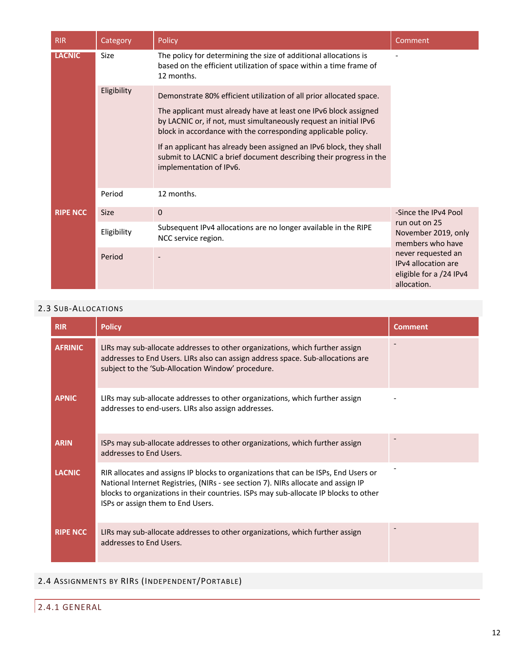| <b>RIR</b>      | Category    | Policy                                                                                                                                                                                                                                                                                                                                                                                                                                                | Comment                                                                                                                                         |
|-----------------|-------------|-------------------------------------------------------------------------------------------------------------------------------------------------------------------------------------------------------------------------------------------------------------------------------------------------------------------------------------------------------------------------------------------------------------------------------------------------------|-------------------------------------------------------------------------------------------------------------------------------------------------|
| <b>LACNIC</b>   | Size        | The policy for determining the size of additional allocations is<br>based on the efficient utilization of space within a time frame of<br>12 months.                                                                                                                                                                                                                                                                                                  |                                                                                                                                                 |
|                 | Eligibility | Demonstrate 80% efficient utilization of all prior allocated space.<br>The applicant must already have at least one IPv6 block assigned<br>by LACNIC or, if not, must simultaneously request an initial IPv6<br>block in accordance with the corresponding applicable policy.<br>If an applicant has already been assigned an IPv6 block, they shall<br>submit to LACNIC a brief document describing their progress in the<br>implementation of IPv6. |                                                                                                                                                 |
|                 | Period      | 12 months.                                                                                                                                                                                                                                                                                                                                                                                                                                            |                                                                                                                                                 |
| <b>RIPE NCC</b> | <b>Size</b> | 0                                                                                                                                                                                                                                                                                                                                                                                                                                                     | -Since the IPv4 Pool                                                                                                                            |
|                 | Eligibility | Subsequent IPv4 allocations are no longer available in the RIPE<br>NCC service region.                                                                                                                                                                                                                                                                                                                                                                | run out on 25<br>November 2019, only<br>members who have<br>never requested an<br>IPv4 allocation are<br>eligible for a /24 IPv4<br>allocation. |
|                 | Period      |                                                                                                                                                                                                                                                                                                                                                                                                                                                       |                                                                                                                                                 |

## 2.3 SUB-ALLOCATIONS

| <b>RIR</b>      | <b>Policy</b>                                                                                                                                                                                                                                                                                         | <b>Comment</b> |
|-----------------|-------------------------------------------------------------------------------------------------------------------------------------------------------------------------------------------------------------------------------------------------------------------------------------------------------|----------------|
| <b>AFRINIC</b>  | LIRs may sub-allocate addresses to other organizations, which further assign<br>addresses to End Users. LIRs also can assign address space. Sub-allocations are<br>subject to the 'Sub-Allocation Window' procedure.                                                                                  |                |
| <b>APNIC</b>    | LIRs may sub-allocate addresses to other organizations, which further assign<br>addresses to end-users. LIRs also assign addresses.                                                                                                                                                                   |                |
| <b>ARIN</b>     | ISPs may sub-allocate addresses to other organizations, which further assign<br>addresses to End Users.                                                                                                                                                                                               |                |
| <b>LACNIC</b>   | RIR allocates and assigns IP blocks to organizations that can be ISPs, End Users or<br>National Internet Registries, (NIRs - see section 7). NIRs allocate and assign IP<br>blocks to organizations in their countries. ISPs may sub-allocate IP blocks to other<br>ISPs or assign them to End Users. |                |
| <b>RIPE NCC</b> | LIRs may sub-allocate addresses to other organizations, which further assign<br>addresses to End Users.                                                                                                                                                                                               |                |

## 2.4 ASSIGNMENTS BY RIRS (INDEPENDENT/PORTABLE)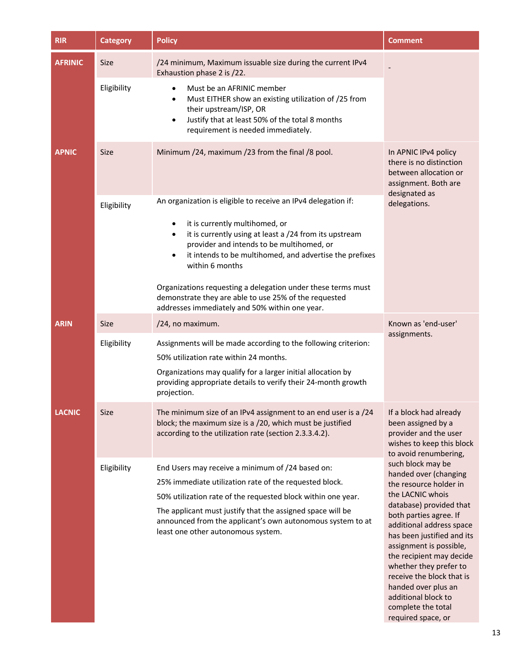| <b>RIR</b>     | <b>Category</b> | <b>Policy</b>                                                                                                                                                                                                                                                                                                                                                                                                                                                                                          | Comment                                                                                                                                                                                                                                                                                                                                                                                                         |
|----------------|-----------------|--------------------------------------------------------------------------------------------------------------------------------------------------------------------------------------------------------------------------------------------------------------------------------------------------------------------------------------------------------------------------------------------------------------------------------------------------------------------------------------------------------|-----------------------------------------------------------------------------------------------------------------------------------------------------------------------------------------------------------------------------------------------------------------------------------------------------------------------------------------------------------------------------------------------------------------|
| <b>AFRINIC</b> | <b>Size</b>     | /24 minimum, Maximum issuable size during the current IPv4<br>Exhaustion phase 2 is /22.                                                                                                                                                                                                                                                                                                                                                                                                               |                                                                                                                                                                                                                                                                                                                                                                                                                 |
|                | Eligibility     | Must be an AFRINIC member<br>٠<br>Must EITHER show an existing utilization of /25 from<br>$\bullet$<br>their upstream/ISP, OR<br>Justify that at least 50% of the total 8 months<br>$\bullet$<br>requirement is needed immediately.                                                                                                                                                                                                                                                                    |                                                                                                                                                                                                                                                                                                                                                                                                                 |
| <b>APNIC</b>   | <b>Size</b>     | Minimum /24, maximum /23 from the final /8 pool.                                                                                                                                                                                                                                                                                                                                                                                                                                                       | In APNIC IPv4 policy<br>there is no distinction<br>between allocation or<br>assignment. Both are<br>designated as                                                                                                                                                                                                                                                                                               |
|                | Eligibility     | An organization is eligible to receive an IPv4 delegation if:<br>it is currently multihomed, or<br>$\bullet$<br>it is currently using at least a /24 from its upstream<br>$\bullet$<br>provider and intends to be multihomed, or<br>it intends to be multihomed, and advertise the prefixes<br>$\bullet$<br>within 6 months<br>Organizations requesting a delegation under these terms must<br>demonstrate they are able to use 25% of the requested<br>addresses immediately and 50% within one year. | delegations.                                                                                                                                                                                                                                                                                                                                                                                                    |
| <b>ARIN</b>    | <b>Size</b>     | /24, no maximum.                                                                                                                                                                                                                                                                                                                                                                                                                                                                                       | Known as 'end-user'                                                                                                                                                                                                                                                                                                                                                                                             |
|                | Eligibility     | Assignments will be made according to the following criterion:<br>50% utilization rate within 24 months.<br>Organizations may qualify for a larger initial allocation by<br>providing appropriate details to verify their 24-month growth<br>projection.                                                                                                                                                                                                                                               | assignments.                                                                                                                                                                                                                                                                                                                                                                                                    |
| <b>LACNIC</b>  | <b>Size</b>     | The minimum size of an IPv4 assignment to an end user is a /24<br>block; the maximum size is a /20, which must be justified<br>according to the utilization rate (section 2.3.3.4.2).                                                                                                                                                                                                                                                                                                                  | If a block had already<br>been assigned by a<br>provider and the user<br>wishes to keep this block<br>to avoid renumbering,                                                                                                                                                                                                                                                                                     |
|                | Eligibility     | End Users may receive a minimum of /24 based on:<br>25% immediate utilization rate of the requested block.<br>50% utilization rate of the requested block within one year.<br>The applicant must justify that the assigned space will be<br>announced from the applicant's own autonomous system to at<br>least one other autonomous system.                                                                                                                                                           | such block may be<br>handed over (changing<br>the resource holder in<br>the LACNIC whois<br>database) provided that<br>both parties agree. If<br>additional address space<br>has been justified and its<br>assignment is possible,<br>the recipient may decide<br>whether they prefer to<br>receive the block that is<br>handed over plus an<br>additional block to<br>complete the total<br>required space, or |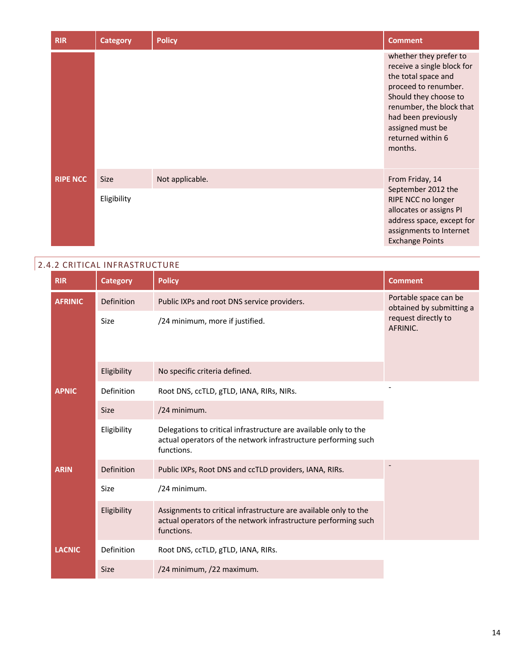| <b>RIR</b>      | <b>Category</b>            | <b>Policy</b>   | <b>Comment</b>                                                                                                                                                                                                                      |
|-----------------|----------------------------|-----------------|-------------------------------------------------------------------------------------------------------------------------------------------------------------------------------------------------------------------------------------|
|                 |                            |                 | whether they prefer to<br>receive a single block for<br>the total space and<br>proceed to renumber.<br>Should they choose to<br>renumber, the block that<br>had been previously<br>assigned must be<br>returned within 6<br>months. |
| <b>RIPE NCC</b> | <b>Size</b><br>Eligibility | Not applicable. | From Friday, 14<br>September 2012 the<br>RIPE NCC no longer<br>allocates or assigns PI<br>address space, except for<br>assignments to Internet<br><b>Exchange Points</b>                                                            |

# 2.4.2 CRITICAL INFRASTRUCTURE

| <b>RIR</b>     | <b>Category</b> | <b>Policy</b>                                                                                                                                    | <b>Comment</b>                                                                       |
|----------------|-----------------|--------------------------------------------------------------------------------------------------------------------------------------------------|--------------------------------------------------------------------------------------|
| <b>AFRINIC</b> | Definition      | Public IXPs and root DNS service providers.                                                                                                      | Portable space can be<br>obtained by submitting a<br>request directly to<br>AFRINIC. |
|                | Size            | /24 minimum, more if justified.                                                                                                                  |                                                                                      |
|                | Eligibility     | No specific criteria defined.                                                                                                                    |                                                                                      |
| <b>APNIC</b>   | Definition      | Root DNS, ccTLD, gTLD, IANA, RIRs, NIRs.                                                                                                         |                                                                                      |
|                | <b>Size</b>     | /24 minimum.                                                                                                                                     |                                                                                      |
|                | Eligibility     | Delegations to critical infrastructure are available only to the<br>actual operators of the network infrastructure performing such<br>functions. |                                                                                      |
| <b>ARIN</b>    | Definition      | Public IXPs, Root DNS and ccTLD providers, IANA, RIRs.                                                                                           |                                                                                      |
|                | Size            | /24 minimum.                                                                                                                                     |                                                                                      |
|                | Eligibility     | Assignments to critical infrastructure are available only to the<br>actual operators of the network infrastructure performing such<br>functions. |                                                                                      |
| <b>LACNIC</b>  | Definition      | Root DNS, ccTLD, gTLD, IANA, RIRs.                                                                                                               |                                                                                      |
|                | <b>Size</b>     | /24 minimum, /22 maximum.                                                                                                                        |                                                                                      |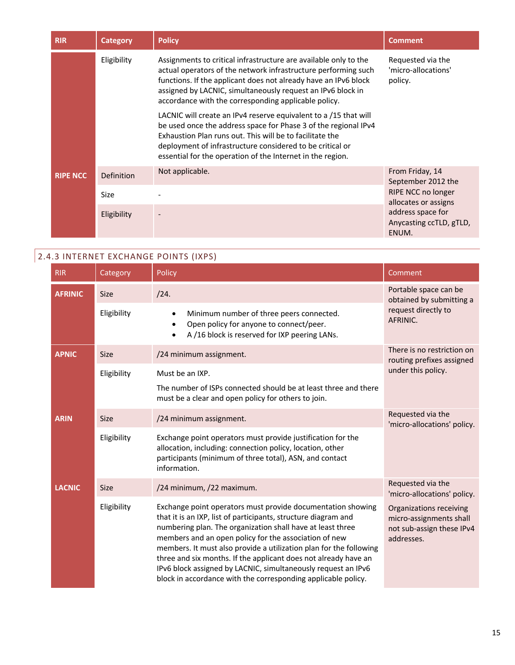| <b>RIR</b>      | <b>Category</b> | <b>Policy</b>                                                                                                                                                                                                                                                                                                                | <b>Comment</b>                                        |
|-----------------|-----------------|------------------------------------------------------------------------------------------------------------------------------------------------------------------------------------------------------------------------------------------------------------------------------------------------------------------------------|-------------------------------------------------------|
|                 | Eligibility     | Assignments to critical infrastructure are available only to the<br>actual operators of the network infrastructure performing such<br>functions. If the applicant does not already have an IPv6 block<br>assigned by LACNIC, simultaneously request an IPv6 block in<br>accordance with the corresponding applicable policy. | Requested via the<br>'micro-allocations'<br>policy.   |
|                 |                 | LACNIC will create an IPv4 reserve equivalent to a /15 that will<br>be used once the address space for Phase 3 of the regional IPv4<br>Exhaustion Plan runs out. This will be to facilitate the<br>deployment of infrastructure considered to be critical or<br>essential for the operation of the Internet in the region.   |                                                       |
| <b>RIPE NCC</b> | Definition      | Not applicable.                                                                                                                                                                                                                                                                                                              | From Friday, 14<br>September 2012 the                 |
|                 | Size            |                                                                                                                                                                                                                                                                                                                              | RIPE NCC no longer<br>allocates or assigns            |
|                 | Eligibility     |                                                                                                                                                                                                                                                                                                                              | address space for<br>Anycasting ccTLD, gTLD,<br>ENUM. |

# 2.4.3 INTERNET EXCHANGE POINTS (IXPS)

| <b>RIR</b>     | Category    | Policy                                                                                                                                                                                                                                                                                                                                                                                                                                                                                                                          | Comment                                                                                       |
|----------------|-------------|---------------------------------------------------------------------------------------------------------------------------------------------------------------------------------------------------------------------------------------------------------------------------------------------------------------------------------------------------------------------------------------------------------------------------------------------------------------------------------------------------------------------------------|-----------------------------------------------------------------------------------------------|
| <b>AFRINIC</b> | <b>Size</b> | /24.                                                                                                                                                                                                                                                                                                                                                                                                                                                                                                                            | Portable space can be<br>obtained by submitting a<br>request directly to<br>AFRINIC.          |
|                | Eligibility | Minimum number of three peers connected.<br>Open policy for anyone to connect/peer.<br>A /16 block is reserved for IXP peering LANs.                                                                                                                                                                                                                                                                                                                                                                                            |                                                                                               |
| <b>APNIC</b>   | <b>Size</b> | /24 minimum assignment.                                                                                                                                                                                                                                                                                                                                                                                                                                                                                                         | There is no restriction on<br>routing prefixes assigned                                       |
|                | Eligibility | Must be an IXP.<br>The number of ISPs connected should be at least three and there<br>must be a clear and open policy for others to join.                                                                                                                                                                                                                                                                                                                                                                                       | under this policy.                                                                            |
| <b>ARIN</b>    | <b>Size</b> | /24 minimum assignment.                                                                                                                                                                                                                                                                                                                                                                                                                                                                                                         | Requested via the<br>'micro-allocations' policy.                                              |
|                | Eligibility | Exchange point operators must provide justification for the<br>allocation, including: connection policy, location, other<br>participants (minimum of three total), ASN, and contact<br>information.                                                                                                                                                                                                                                                                                                                             |                                                                                               |
| <b>LACNIC</b>  | <b>Size</b> | /24 minimum, /22 maximum.                                                                                                                                                                                                                                                                                                                                                                                                                                                                                                       | Requested via the<br>'micro-allocations' policy.                                              |
|                | Eligibility | Exchange point operators must provide documentation showing<br>that it is an IXP, list of participants, structure diagram and<br>numbering plan. The organization shall have at least three<br>members and an open policy for the association of new<br>members. It must also provide a utilization plan for the following<br>three and six months. If the applicant does not already have an<br>IPv6 block assigned by LACNIC, simultaneously request an IPv6<br>block in accordance with the corresponding applicable policy. | Organizations receiving<br>micro-assignments shall<br>not sub-assign these IPv4<br>addresses. |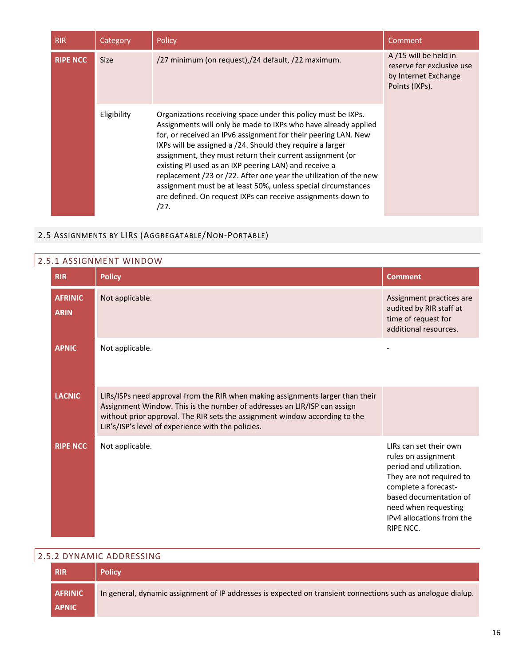| <b>RIR</b>      | Category    | Policy                                                                                                                                                                                                                                                                                                                                                                                                                                                                                                                                                                                             | Comment                                                                                     |
|-----------------|-------------|----------------------------------------------------------------------------------------------------------------------------------------------------------------------------------------------------------------------------------------------------------------------------------------------------------------------------------------------------------------------------------------------------------------------------------------------------------------------------------------------------------------------------------------------------------------------------------------------------|---------------------------------------------------------------------------------------------|
| <b>RIPE NCC</b> | <b>Size</b> | /27 minimum (on request),/24 default, /22 maximum.                                                                                                                                                                                                                                                                                                                                                                                                                                                                                                                                                 | A/15 will be held in<br>reserve for exclusive use<br>by Internet Exchange<br>Points (IXPs). |
|                 | Eligibility | Organizations receiving space under this policy must be IXPs.<br>Assignments will only be made to IXPs who have already applied<br>for, or received an IPv6 assignment for their peering LAN. New<br>IXPs will be assigned a /24. Should they require a larger<br>assignment, they must return their current assignment (or<br>existing PI used as an IXP peering LAN) and receive a<br>replacement /23 or /22. After one year the utilization of the new<br>assignment must be at least 50%, unless special circumstances<br>are defined. On request IXPs can receive assignments down to<br>/27. |                                                                                             |

## 2.5 ASSIGNMENTS BY LIRS (AGGREGATABLE/NON-PORTABLE)

| <b>RIR</b>                    | <b>Policy</b>                                                                                                                                                                                                                                                                                   | <b>Comment</b>                                                                                                                                                                                                           |
|-------------------------------|-------------------------------------------------------------------------------------------------------------------------------------------------------------------------------------------------------------------------------------------------------------------------------------------------|--------------------------------------------------------------------------------------------------------------------------------------------------------------------------------------------------------------------------|
| <b>AFRINIC</b><br><b>ARIN</b> | Not applicable.                                                                                                                                                                                                                                                                                 | Assignment practices are<br>audited by RIR staff at<br>time of request for<br>additional resources.                                                                                                                      |
| <b>APNIC</b>                  | Not applicable.                                                                                                                                                                                                                                                                                 |                                                                                                                                                                                                                          |
| <b>LACNIC</b>                 | LIRs/ISPs need approval from the RIR when making assignments larger than their<br>Assignment Window. This is the number of addresses an LIR/ISP can assign<br>without prior approval. The RIR sets the assignment window according to the<br>LIR's/ISP's level of experience with the policies. |                                                                                                                                                                                                                          |
| <b>RIPE NCC</b>               | Not applicable.                                                                                                                                                                                                                                                                                 | LIRs can set their own<br>rules on assignment<br>period and utilization.<br>They are not required to<br>complete a forecast-<br>based documentation of<br>need when requesting<br>IPv4 allocations from the<br>RIPE NCC. |

## 2.5.2 DYNAMIC ADDRESSING

| <b>RIR</b>     | <b>Policy</b>                                                                                                |
|----------------|--------------------------------------------------------------------------------------------------------------|
| <b>AFRINIC</b> | In general, dynamic assignment of IP addresses is expected on transient connections such as analogue dialup. |
| <b>APNIC</b>   |                                                                                                              |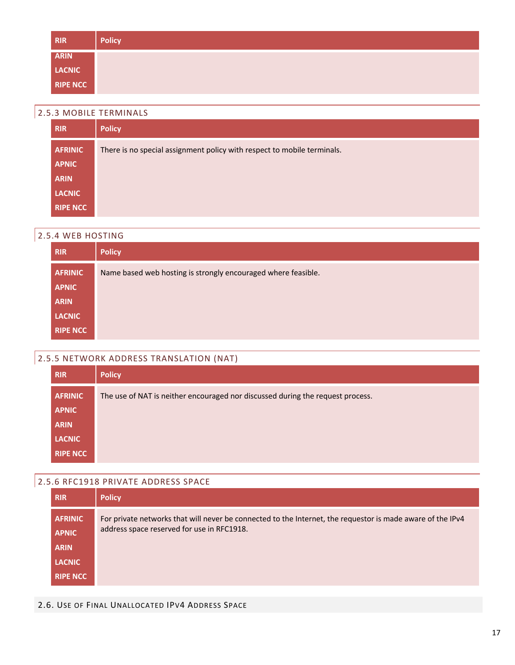| <b>RIR</b>      | <b>Policy</b> |
|-----------------|---------------|
| <b>ARIN</b>     |               |
| LACNIC          |               |
| <b>RIPE NCC</b> |               |

### 2.5.3 MOBILE TERMINALS

| <b>RIR</b>      | <b>Policy</b>                                                           |
|-----------------|-------------------------------------------------------------------------|
| <b>AFRINIC</b>  | There is no special assignment policy with respect to mobile terminals. |
| <b>APNIC</b>    |                                                                         |
| <b>ARIN</b>     |                                                                         |
| <b>LACNIC</b>   |                                                                         |
| <b>RIPE NCC</b> |                                                                         |

#### 2.5.4 WEB HOSTING

| <b>RIR</b>      | <b>Policy</b>                                                 |
|-----------------|---------------------------------------------------------------|
| <b>AFRINIC</b>  | Name based web hosting is strongly encouraged where feasible. |
| <b>APNIC</b>    |                                                               |
| <b>ARIN</b>     |                                                               |
| <b>LACNIC</b>   |                                                               |
| <b>RIPE NCC</b> |                                                               |

## 2.5.5 NETWORK ADDRESS TRANSLATION (NAT)

| <b>RIR</b>      | <b>Policy</b>                                                                  |
|-----------------|--------------------------------------------------------------------------------|
| <b>AFRINIC</b>  | The use of NAT is neither encouraged nor discussed during the request process. |
| <b>APNIC</b>    |                                                                                |
| <b>ARIN</b>     |                                                                                |
| <b>LACNIC</b>   |                                                                                |
| <b>RIPE NCC</b> |                                                                                |

## 2.5.6 RFC1918 PRIVATE ADDRESS SPACE

| <b>RIR</b>      | <b>Policy</b>                                                                                              |
|-----------------|------------------------------------------------------------------------------------------------------------|
| <b>AFRINIC</b>  | For private networks that will never be connected to the Internet, the requestor is made aware of the IPv4 |
| <b>APNIC</b>    | address space reserved for use in RFC1918.                                                                 |
| <b>ARIN</b>     |                                                                                                            |
| <b>LACNIC</b>   |                                                                                                            |
| <b>RIPE NCC</b> |                                                                                                            |

#### 2.6. USE OF FINAL UNALLOCATED IPV4 ADDRESS SPACE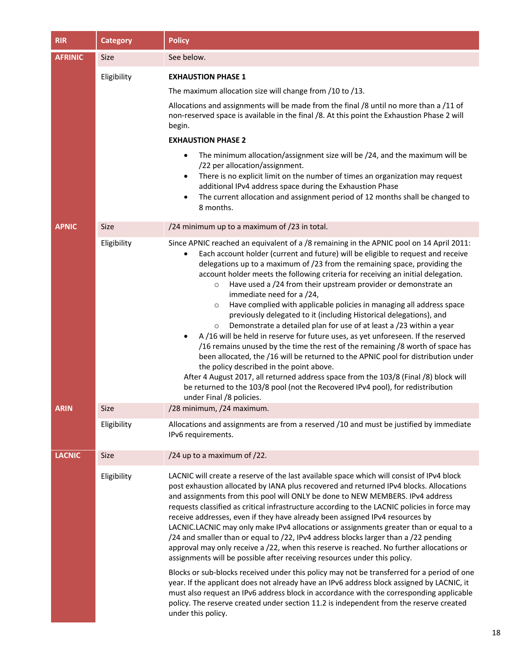| <b>RIR</b>     | <b>Category</b> | <b>Policy</b>                                                                                                                                                                                                                                                                                                                                                                                                                                                                                                                                                                                                                                                                                                                                                                                                                                                                                                                                                                                                                                                                                                                                                                                                                       |
|----------------|-----------------|-------------------------------------------------------------------------------------------------------------------------------------------------------------------------------------------------------------------------------------------------------------------------------------------------------------------------------------------------------------------------------------------------------------------------------------------------------------------------------------------------------------------------------------------------------------------------------------------------------------------------------------------------------------------------------------------------------------------------------------------------------------------------------------------------------------------------------------------------------------------------------------------------------------------------------------------------------------------------------------------------------------------------------------------------------------------------------------------------------------------------------------------------------------------------------------------------------------------------------------|
| <b>AFRINIC</b> | <b>Size</b>     | See below.                                                                                                                                                                                                                                                                                                                                                                                                                                                                                                                                                                                                                                                                                                                                                                                                                                                                                                                                                                                                                                                                                                                                                                                                                          |
|                | Eligibility     | <b>EXHAUSTION PHASE 1</b>                                                                                                                                                                                                                                                                                                                                                                                                                                                                                                                                                                                                                                                                                                                                                                                                                                                                                                                                                                                                                                                                                                                                                                                                           |
|                |                 | The maximum allocation size will change from /10 to /13.                                                                                                                                                                                                                                                                                                                                                                                                                                                                                                                                                                                                                                                                                                                                                                                                                                                                                                                                                                                                                                                                                                                                                                            |
|                |                 | Allocations and assignments will be made from the final /8 until no more than a /11 of<br>non-reserved space is available in the final /8. At this point the Exhaustion Phase 2 will<br>begin.                                                                                                                                                                                                                                                                                                                                                                                                                                                                                                                                                                                                                                                                                                                                                                                                                                                                                                                                                                                                                                      |
|                |                 | <b>EXHAUSTION PHASE 2</b>                                                                                                                                                                                                                                                                                                                                                                                                                                                                                                                                                                                                                                                                                                                                                                                                                                                                                                                                                                                                                                                                                                                                                                                                           |
|                |                 | The minimum allocation/assignment size will be /24, and the maximum will be<br>$\bullet$<br>/22 per allocation/assignment.<br>There is no explicit limit on the number of times an organization may request<br>٠<br>additional IPv4 address space during the Exhaustion Phase<br>The current allocation and assignment period of 12 months shall be changed to<br>$\bullet$<br>8 months.                                                                                                                                                                                                                                                                                                                                                                                                                                                                                                                                                                                                                                                                                                                                                                                                                                            |
| <b>APNIC</b>   | Size            | /24 minimum up to a maximum of /23 in total.                                                                                                                                                                                                                                                                                                                                                                                                                                                                                                                                                                                                                                                                                                                                                                                                                                                                                                                                                                                                                                                                                                                                                                                        |
|                | Eligibility     | Since APNIC reached an equivalent of a /8 remaining in the APNIC pool on 14 April 2011:<br>Each account holder (current and future) will be eligible to request and receive<br>٠<br>delegations up to a maximum of /23 from the remaining space, providing the<br>account holder meets the following criteria for receiving an initial delegation.<br>Have used a /24 from their upstream provider or demonstrate an<br>$\circ$<br>immediate need for a /24,<br>Have complied with applicable policies in managing all address space<br>$\circ$<br>previously delegated to it (including Historical delegations), and<br>Demonstrate a detailed plan for use of at least a /23 within a year<br>$\circ$<br>A /16 will be held in reserve for future uses, as yet unforeseen. If the reserved<br>$\bullet$<br>/16 remains unused by the time the rest of the remaining /8 worth of space has<br>been allocated, the /16 will be returned to the APNIC pool for distribution under<br>the policy described in the point above.<br>After 4 August 2017, all returned address space from the 103/8 (Final /8) block will<br>be returned to the 103/8 pool (not the Recovered IPv4 pool), for redistribution<br>under Final /8 policies. |
| AKIN           | Size            | /28 minimum, /24 maximum.                                                                                                                                                                                                                                                                                                                                                                                                                                                                                                                                                                                                                                                                                                                                                                                                                                                                                                                                                                                                                                                                                                                                                                                                           |
|                | Eligibility     | Allocations and assignments are from a reserved /10 and must be justified by immediate<br>IPv6 requirements.                                                                                                                                                                                                                                                                                                                                                                                                                                                                                                                                                                                                                                                                                                                                                                                                                                                                                                                                                                                                                                                                                                                        |
| <b>LACNIC</b>  | <b>Size</b>     | /24 up to a maximum of $/22$ .                                                                                                                                                                                                                                                                                                                                                                                                                                                                                                                                                                                                                                                                                                                                                                                                                                                                                                                                                                                                                                                                                                                                                                                                      |
|                | Eligibility     | LACNIC will create a reserve of the last available space which will consist of IPv4 block<br>post exhaustion allocated by IANA plus recovered and returned IPv4 blocks. Allocations<br>and assignments from this pool will ONLY be done to NEW MEMBERS. IPv4 address<br>requests classified as critical infrastructure according to the LACNIC policies in force may<br>receive addresses, even if they have already been assigned IPv4 resources by<br>LACNIC.LACNIC may only make IPv4 allocations or assignments greater than or equal to a<br>/24 and smaller than or equal to /22, IPv4 address blocks larger than a /22 pending<br>approval may only receive a /22, when this reserve is reached. No further allocations or<br>assignments will be possible after receiving resources under this policy.<br>Blocks or sub-blocks received under this policy may not be transferred for a period of one<br>year. If the applicant does not already have an IPv6 address block assigned by LACNIC, it<br>must also request an IPv6 address block in accordance with the corresponding applicable<br>policy. The reserve created under section 11.2 is independent from the reserve created<br>under this policy.                |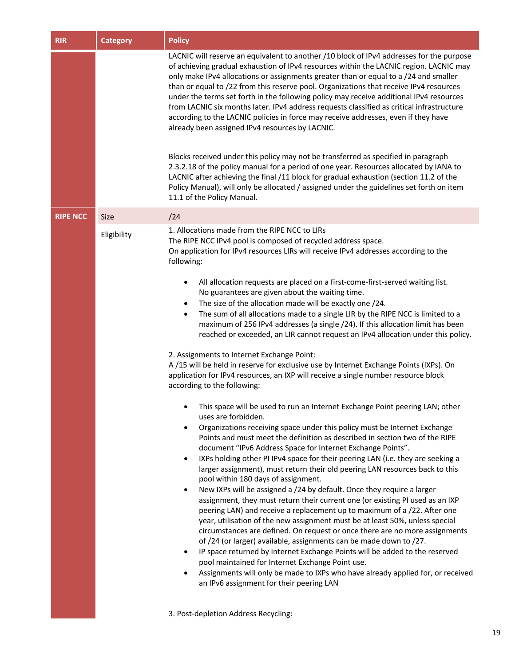| <b>RIR</b>      | <b>Category</b> | <b>Policy</b>                                                                                                                                                                                                                                                                                                                                                                                                                                                                                                                                                                                                                                                                                                                                                                                                                                                                                                                                                                                                                                                                                                                                                                                                                                                                                                                                                                                                                                                                                                                                                                                                                                                                                                                                                                                                                                                                                                                                                                                                                                                                                                                                                                                                                                                                                                                        |
|-----------------|-----------------|--------------------------------------------------------------------------------------------------------------------------------------------------------------------------------------------------------------------------------------------------------------------------------------------------------------------------------------------------------------------------------------------------------------------------------------------------------------------------------------------------------------------------------------------------------------------------------------------------------------------------------------------------------------------------------------------------------------------------------------------------------------------------------------------------------------------------------------------------------------------------------------------------------------------------------------------------------------------------------------------------------------------------------------------------------------------------------------------------------------------------------------------------------------------------------------------------------------------------------------------------------------------------------------------------------------------------------------------------------------------------------------------------------------------------------------------------------------------------------------------------------------------------------------------------------------------------------------------------------------------------------------------------------------------------------------------------------------------------------------------------------------------------------------------------------------------------------------------------------------------------------------------------------------------------------------------------------------------------------------------------------------------------------------------------------------------------------------------------------------------------------------------------------------------------------------------------------------------------------------------------------------------------------------------------------------------------------------|
|                 |                 | LACNIC will reserve an equivalent to another /10 block of IPv4 addresses for the purpose<br>of achieving gradual exhaustion of IPv4 resources within the LACNIC region. LACNIC may<br>only make IPv4 allocations or assignments greater than or equal to a /24 and smaller<br>than or equal to /22 from this reserve pool. Organizations that receive IPv4 resources<br>under the terms set forth in the following policy may receive additional IPv4 resources<br>from LACNIC six months later. IPv4 address requests classified as critical infrastructure<br>according to the LACNIC policies in force may receive addresses, even if they have<br>already been assigned IPv4 resources by LACNIC.<br>Blocks received under this policy may not be transferred as specified in paragraph<br>2.3.2.18 of the policy manual for a period of one year. Resources allocated by IANA to<br>LACNIC after achieving the final /11 block for gradual exhaustion (section 11.2 of the<br>Policy Manual), will only be allocated / assigned under the guidelines set forth on item<br>11.1 of the Policy Manual.                                                                                                                                                                                                                                                                                                                                                                                                                                                                                                                                                                                                                                                                                                                                                                                                                                                                                                                                                                                                                                                                                                                                                                                                                            |
| <b>RIPE NCC</b> | <b>Size</b>     | /24                                                                                                                                                                                                                                                                                                                                                                                                                                                                                                                                                                                                                                                                                                                                                                                                                                                                                                                                                                                                                                                                                                                                                                                                                                                                                                                                                                                                                                                                                                                                                                                                                                                                                                                                                                                                                                                                                                                                                                                                                                                                                                                                                                                                                                                                                                                                  |
|                 | Eligibility     | 1. Allocations made from the RIPE NCC to LIRs<br>The RIPE NCC IPv4 pool is composed of recycled address space.<br>On application for IPv4 resources LIRs will receive IPv4 addresses according to the<br>following:<br>All allocation requests are placed on a first-come-first-served waiting list.<br>$\bullet$<br>No guarantees are given about the waiting time.<br>The size of the allocation made will be exactly one /24.<br>$\bullet$<br>The sum of all allocations made to a single LIR by the RIPE NCC is limited to a<br>$\bullet$<br>maximum of 256 IPv4 addresses (a single /24). If this allocation limit has been<br>reached or exceeded, an LIR cannot request an IPv4 allocation under this policy.<br>2. Assignments to Internet Exchange Point:<br>A /15 will be held in reserve for exclusive use by Internet Exchange Points (IXPs). On<br>application for IPv4 resources, an IXP will receive a single number resource block<br>according to the following:<br>This space will be used to run an Internet Exchange Point peering LAN; other<br>uses are forbidden.<br>Organizations receiving space under this policy must be Internet Exchange<br>$\bullet$<br>Points and must meet the definition as described in section two of the RIPE<br>document "IPv6 Address Space for Internet Exchange Points".<br>IXPs holding other PI IPv4 space for their peering LAN (i.e. they are seeking a<br>$\bullet$<br>larger assignment), must return their old peering LAN resources back to this<br>pool within 180 days of assignment.<br>New IXPs will be assigned a /24 by default. Once they require a larger<br>$\bullet$<br>assignment, they must return their current one (or existing PI used as an IXP<br>peering LAN) and receive a replacement up to maximum of a /22. After one<br>year, utilisation of the new assignment must be at least 50%, unless special<br>circumstances are defined. On request or once there are no more assignments<br>of /24 (or larger) available, assignments can be made down to /27.<br>IP space returned by Internet Exchange Points will be added to the reserved<br>$\bullet$<br>pool maintained for Internet Exchange Point use.<br>Assignments will only be made to IXPs who have already applied for, or received<br>٠<br>an IPv6 assignment for their peering LAN |
|                 |                 | 3. Post-depletion Address Recycling:                                                                                                                                                                                                                                                                                                                                                                                                                                                                                                                                                                                                                                                                                                                                                                                                                                                                                                                                                                                                                                                                                                                                                                                                                                                                                                                                                                                                                                                                                                                                                                                                                                                                                                                                                                                                                                                                                                                                                                                                                                                                                                                                                                                                                                                                                                 |

3. Post-depletion Address Recycling: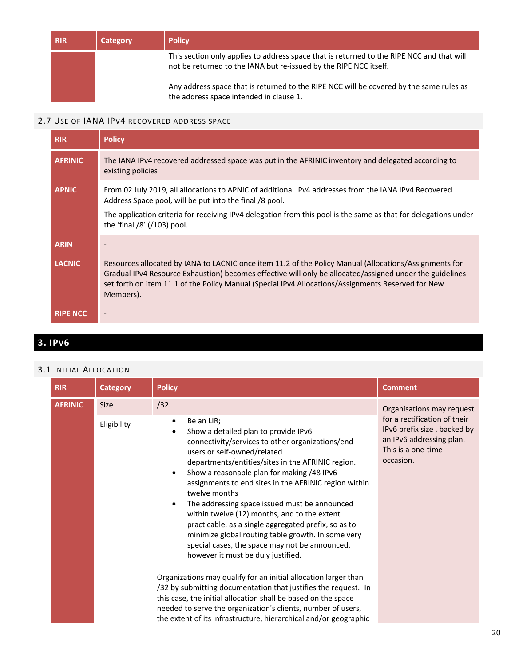| <b>RIR</b> | Category | <b>Policy</b>                                                                                                                                                  |
|------------|----------|----------------------------------------------------------------------------------------------------------------------------------------------------------------|
|            |          | This section only applies to address space that is returned to the RIPE NCC and that will<br>not be returned to the IANA but re-issued by the RIPE NCC itself. |
|            |          | Any address space that is returned to the RIPE NCC will be covered by the same rules as<br>the address space intended in clause 1.                             |

#### 2.7 USE OF IANA IPV4 RECOVERED ADDRESS SPACE

| <b>RIR</b>      | <b>Policy</b>                                                                                                                                                                                                                                                                                                                         |
|-----------------|---------------------------------------------------------------------------------------------------------------------------------------------------------------------------------------------------------------------------------------------------------------------------------------------------------------------------------------|
| <b>AFRINIC</b>  | The IANA IPv4 recovered addressed space was put in the AFRINIC inventory and delegated according to<br>existing policies                                                                                                                                                                                                              |
| <b>APNIC</b>    | From 02 July 2019, all allocations to APNIC of additional IPv4 addresses from the IANA IPv4 Recovered<br>Address Space pool, will be put into the final /8 pool.                                                                                                                                                                      |
|                 | The application criteria for receiving IPv4 delegation from this pool is the same as that for delegations under<br>the 'final $/8'$ ( $/103$ ) pool.                                                                                                                                                                                  |
| <b>ARIN</b>     |                                                                                                                                                                                                                                                                                                                                       |
| <b>LACNIC</b>   | Resources allocated by IANA to LACNIC once item 11.2 of the Policy Manual (Allocations/Assignments for<br>Gradual IPv4 Resource Exhaustion) becomes effective will only be allocated/assigned under the guidelines<br>set forth on item 11.1 of the Policy Manual (Special IPv4 Allocations/Assignments Reserved for New<br>Members). |
| <b>RIPE NCC</b> |                                                                                                                                                                                                                                                                                                                                       |

# **3. IPV6**

#### 3.1 INITIAL ALLOCATION

| <b>RIR</b>     | <b>Category</b>            | <b>Policy</b>                                                                                                                                                                                                                                                                                                                                                                                                                                                                                                                                                                                                                                                                          | <b>Comment</b>                                                                                                                                          |
|----------------|----------------------------|----------------------------------------------------------------------------------------------------------------------------------------------------------------------------------------------------------------------------------------------------------------------------------------------------------------------------------------------------------------------------------------------------------------------------------------------------------------------------------------------------------------------------------------------------------------------------------------------------------------------------------------------------------------------------------------|---------------------------------------------------------------------------------------------------------------------------------------------------------|
| <b>AFRINIC</b> | <b>Size</b><br>Eligibility | /32.<br>Be an LIR;<br>$\bullet$<br>Show a detailed plan to provide IPv6<br>$\bullet$<br>connectivity/services to other organizations/end-<br>users or self-owned/related<br>departments/entities/sites in the AFRINIC region.<br>Show a reasonable plan for making /48 IPv6<br>$\bullet$<br>assignments to end sites in the AFRINIC region within<br>twelve months<br>The addressing space issued must be announced<br>$\bullet$<br>within twelve (12) months, and to the extent<br>practicable, as a single aggregated prefix, so as to<br>minimize global routing table growth. In some very<br>special cases, the space may not be announced,<br>however it must be duly justified. | Organisations may request<br>for a rectification of their<br>IPv6 prefix size, backed by<br>an IPv6 addressing plan.<br>This is a one-time<br>occasion. |
|                |                            | Organizations may qualify for an initial allocation larger than<br>/32 by submitting documentation that justifies the request. In<br>this case, the initial allocation shall be based on the space<br>needed to serve the organization's clients, number of users,<br>the extent of its infrastructure, hierarchical and/or geographic                                                                                                                                                                                                                                                                                                                                                 |                                                                                                                                                         |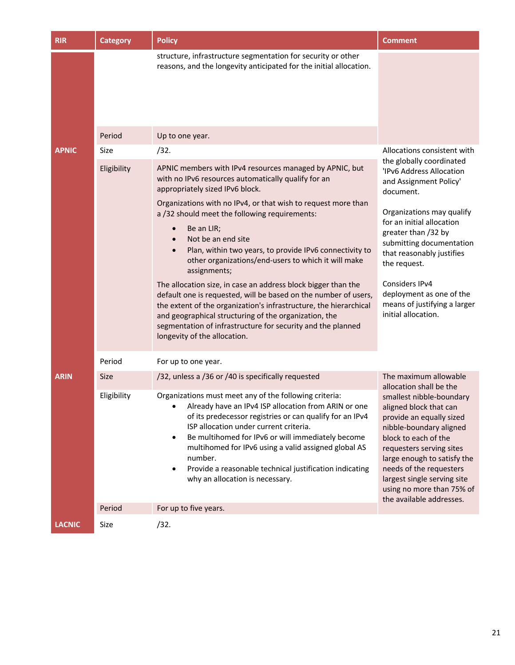| <b>RIR</b>    | <b>Category</b> | <b>Policy</b>                                                                                                                                                                                                                                                                                                                                                                                                                                                                                                                                                                                                                                                                                                                                                                                                                        | <b>Comment</b>                                                                                                                                                                                                                                                                                                                                             |
|---------------|-----------------|--------------------------------------------------------------------------------------------------------------------------------------------------------------------------------------------------------------------------------------------------------------------------------------------------------------------------------------------------------------------------------------------------------------------------------------------------------------------------------------------------------------------------------------------------------------------------------------------------------------------------------------------------------------------------------------------------------------------------------------------------------------------------------------------------------------------------------------|------------------------------------------------------------------------------------------------------------------------------------------------------------------------------------------------------------------------------------------------------------------------------------------------------------------------------------------------------------|
|               |                 | structure, infrastructure segmentation for security or other<br>reasons, and the longevity anticipated for the initial allocation.                                                                                                                                                                                                                                                                                                                                                                                                                                                                                                                                                                                                                                                                                                   |                                                                                                                                                                                                                                                                                                                                                            |
|               | Period          | Up to one year.                                                                                                                                                                                                                                                                                                                                                                                                                                                                                                                                                                                                                                                                                                                                                                                                                      |                                                                                                                                                                                                                                                                                                                                                            |
| <b>APNIC</b>  | Size            | /32.                                                                                                                                                                                                                                                                                                                                                                                                                                                                                                                                                                                                                                                                                                                                                                                                                                 | Allocations consistent with                                                                                                                                                                                                                                                                                                                                |
|               | Eligibility     | APNIC members with IPv4 resources managed by APNIC, but<br>with no IPv6 resources automatically qualify for an<br>appropriately sized IPv6 block.<br>Organizations with no IPv4, or that wish to request more than<br>a /32 should meet the following requirements:<br>Be an LIR;<br>$\bullet$<br>Not be an end site<br>$\bullet$<br>Plan, within two years, to provide IPv6 connectivity to<br>other organizations/end-users to which it will make<br>assignments;<br>The allocation size, in case an address block bigger than the<br>default one is requested, will be based on the number of users,<br>the extent of the organization's infrastructure, the hierarchical<br>and geographical structuring of the organization, the<br>segmentation of infrastructure for security and the planned<br>longevity of the allocation. | the globally coordinated<br>'IPv6 Address Allocation<br>and Assignment Policy'<br>document.<br>Organizations may qualify<br>for an initial allocation<br>greater than /32 by<br>submitting documentation<br>that reasonably justifies<br>the request.<br>Considers IPv4<br>deployment as one of the<br>means of justifying a larger<br>initial allocation. |
|               | Period          | For up to one year.                                                                                                                                                                                                                                                                                                                                                                                                                                                                                                                                                                                                                                                                                                                                                                                                                  |                                                                                                                                                                                                                                                                                                                                                            |
| <b>ARIN</b>   | <b>Size</b>     | /32, unless a /36 or /40 is specifically requested                                                                                                                                                                                                                                                                                                                                                                                                                                                                                                                                                                                                                                                                                                                                                                                   | The maximum allowable<br>allocation shall be the                                                                                                                                                                                                                                                                                                           |
|               | Eligibility     | Organizations must meet any of the following criteria:<br>Already have an IPv4 ISP allocation from ARIN or one<br>of its predecessor registries or can qualify for an IPv4<br>ISP allocation under current criteria.<br>Be multihomed for IPv6 or will immediately become<br>$\bullet$<br>multihomed for IPv6 using a valid assigned global AS<br>number.<br>Provide a reasonable technical justification indicating<br>$\bullet$<br>why an allocation is necessary.                                                                                                                                                                                                                                                                                                                                                                 | smallest nibble-boundary<br>aligned block that can<br>provide an equally sized<br>nibble-boundary aligned<br>block to each of the<br>requesters serving sites<br>large enough to satisfy the<br>needs of the requesters<br>largest single serving site<br>using no more than 75% of<br>the available addresses.                                            |
|               | Period          | For up to five years.                                                                                                                                                                                                                                                                                                                                                                                                                                                                                                                                                                                                                                                                                                                                                                                                                |                                                                                                                                                                                                                                                                                                                                                            |
| <b>LACNIC</b> | Size            | /32.                                                                                                                                                                                                                                                                                                                                                                                                                                                                                                                                                                                                                                                                                                                                                                                                                                 |                                                                                                                                                                                                                                                                                                                                                            |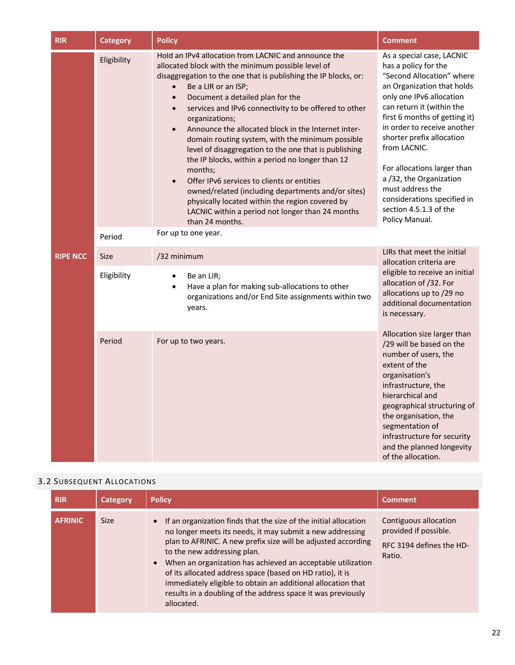| <b>RIR</b>      | <b>Category</b> | <b>Policy</b>                                                                                                                                                                                                                                                                                                                                                                                                                                                                                                                                                                                                                                                                                                                                                                                                                                         | <b>Comment</b>                                                                                                                                                                                                                                                                                                                                                                                                                              |
|-----------------|-----------------|-------------------------------------------------------------------------------------------------------------------------------------------------------------------------------------------------------------------------------------------------------------------------------------------------------------------------------------------------------------------------------------------------------------------------------------------------------------------------------------------------------------------------------------------------------------------------------------------------------------------------------------------------------------------------------------------------------------------------------------------------------------------------------------------------------------------------------------------------------|---------------------------------------------------------------------------------------------------------------------------------------------------------------------------------------------------------------------------------------------------------------------------------------------------------------------------------------------------------------------------------------------------------------------------------------------|
|                 | Eligibility     | Hold an IPv4 allocation from LACNIC and announce the<br>allocated block with the minimum possible level of<br>disaggregation to the one that is publishing the IP blocks, or:<br>Be a LIR or an ISP;<br>$\bullet$<br>Document a detailed plan for the<br>$\bullet$<br>services and IPv6 connectivity to be offered to other<br>$\bullet$<br>organizations;<br>Announce the allocated block in the Internet inter-<br>$\bullet$<br>domain routing system, with the minimum possible<br>level of disaggregation to the one that is publishing<br>the IP blocks, within a period no longer than 12<br>months;<br>Offer IPv6 services to clients or entities<br>$\bullet$<br>owned/related (including departments and/or sites)<br>physically located within the region covered by<br>LACNIC within a period not longer than 24 months<br>than 24 months. | As a special case, LACNIC<br>has a policy for the<br>"Second Allocation" where<br>an Organization that holds<br>only one IPv6 allocation<br>can return it (within the<br>first 6 months of getting it)<br>in order to receive another<br>shorter prefix allocation<br>from LACNIC.<br>For allocations larger than<br>a /32, the Organization<br>must address the<br>considerations specified in<br>section 4.5.1.3 of the<br>Policy Manual. |
|                 | Period          | For up to one year.                                                                                                                                                                                                                                                                                                                                                                                                                                                                                                                                                                                                                                                                                                                                                                                                                                   |                                                                                                                                                                                                                                                                                                                                                                                                                                             |
| <b>RIPE NCC</b> | <b>Size</b>     | /32 minimum                                                                                                                                                                                                                                                                                                                                                                                                                                                                                                                                                                                                                                                                                                                                                                                                                                           | LIRs that meet the initial<br>allocation criteria are                                                                                                                                                                                                                                                                                                                                                                                       |
|                 | Eligibility     | Be an LIR;<br>$\bullet$<br>Have a plan for making sub-allocations to other<br>$\bullet$<br>organizations and/or End Site assignments within two<br>years.                                                                                                                                                                                                                                                                                                                                                                                                                                                                                                                                                                                                                                                                                             | eligible to receive an initial<br>allocation of /32. For<br>allocations up to /29 no<br>additional documentation<br>is necessary.                                                                                                                                                                                                                                                                                                           |
|                 | Period          | For up to two years.                                                                                                                                                                                                                                                                                                                                                                                                                                                                                                                                                                                                                                                                                                                                                                                                                                  | Allocation size larger than<br>/29 will be based on the<br>number of users, the<br>extent of the<br>organisation's<br>infrastructure, the<br>hierarchical and<br>geographical structuring of<br>the organisation, the<br>segmentation of<br>infrastructure for security<br>and the planned longevity<br>of the allocation.                                                                                                                  |

#### 3.2 SUBSEQUENT ALLOCATIONS

| <b>RIR</b>     | Category    | <b>Policy</b>                                                                                                                                                                                                                                                                                                                                                                                                                                                                                                                     | <b>Comment</b>                                                                       |
|----------------|-------------|-----------------------------------------------------------------------------------------------------------------------------------------------------------------------------------------------------------------------------------------------------------------------------------------------------------------------------------------------------------------------------------------------------------------------------------------------------------------------------------------------------------------------------------|--------------------------------------------------------------------------------------|
| <b>AFRINIC</b> | <b>Size</b> | If an organization finds that the size of the initial allocation<br>$\bullet$<br>no longer meets its needs, it may submit a new addressing<br>plan to AFRINIC. A new prefix size will be adjusted according<br>to the new addressing plan.<br>When an organization has achieved an acceptable utilization<br>$\bullet$<br>of its allocated address space (based on HD ratio), it is<br>immediately eligible to obtain an additional allocation that<br>results in a doubling of the address space it was previously<br>allocated. | Contiguous allocation<br>provided if possible.<br>RFC 3194 defines the HD-<br>Ratio. |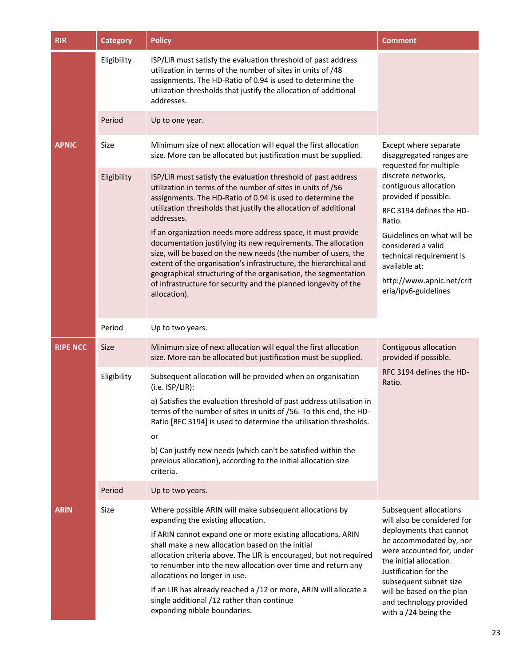| <b>RIR</b>      | <b>Category</b> | <b>Policy</b>                                                                                                                                                                                                                                                                                                                          | <b>Comment</b>                                                                                                                                                |
|-----------------|-----------------|----------------------------------------------------------------------------------------------------------------------------------------------------------------------------------------------------------------------------------------------------------------------------------------------------------------------------------------|---------------------------------------------------------------------------------------------------------------------------------------------------------------|
|                 | Eligibility     | ISP/LIR must satisfy the evaluation threshold of past address<br>utilization in terms of the number of sites in units of /48<br>assignments. The HD-Ratio of 0.94 is used to determine the<br>utilization thresholds that justify the allocation of additional<br>addresses.                                                           |                                                                                                                                                               |
|                 | Period          | Up to one year.                                                                                                                                                                                                                                                                                                                        |                                                                                                                                                               |
| <b>APNIC</b>    | Size            | Minimum size of next allocation will equal the first allocation<br>size. More can be allocated but justification must be supplied.                                                                                                                                                                                                     | Except where separate<br>disaggregated ranges are<br>requested for multiple                                                                                   |
|                 | Eligibility     | ISP/LIR must satisfy the evaluation threshold of past address<br>utilization in terms of the number of sites in units of /56<br>assignments. The HD-Ratio of 0.94 is used to determine the<br>utilization thresholds that justify the allocation of additional                                                                         | discrete networks,<br>contiguous allocation<br>provided if possible.                                                                                          |
|                 |                 | addresses.                                                                                                                                                                                                                                                                                                                             | RFC 3194 defines the HD-<br>Ratio.                                                                                                                            |
|                 |                 | If an organization needs more address space, it must provide<br>documentation justifying its new requirements. The allocation<br>size, will be based on the new needs (the number of users, the<br>extent of the organisation's infrastructure, the hierarchical and<br>geographical structuring of the organisation, the segmentation | Guidelines on what will be<br>considered a valid<br>technical requirement is<br>available at:                                                                 |
|                 |                 | of infrastructure for security and the planned longevity of the<br>allocation).                                                                                                                                                                                                                                                        | http://www.apnic.net/crit<br>eria/ipv6-guidelines                                                                                                             |
|                 | Period          | Up to two years.                                                                                                                                                                                                                                                                                                                       |                                                                                                                                                               |
| <b>RIPE NCC</b> | Size            | Minimum size of next allocation will equal the first allocation<br>size. More can be allocated but justification must be supplied.                                                                                                                                                                                                     | Contiguous allocation<br>provided if possible.                                                                                                                |
|                 | Eligibility     | Subsequent allocation will be provided when an organisation<br>$(i.e.$ ISP/LIR):                                                                                                                                                                                                                                                       | RFC 3194 defines the HD-<br>Ratio.                                                                                                                            |
|                 |                 | a) Satisfies the evaluation threshold of past address utilisation in<br>terms of the number of sites in units of /56. To this end, the HD-<br>Ratio [RFC 3194] is used to determine the utilisation thresholds.                                                                                                                        |                                                                                                                                                               |
|                 |                 | or<br>b) Can justify new needs (which can't be satisfied within the<br>previous allocation), according to the initial allocation size<br>criteria.                                                                                                                                                                                     |                                                                                                                                                               |
|                 | Period          | Up to two years.                                                                                                                                                                                                                                                                                                                       |                                                                                                                                                               |
| <b>ARIN</b>     | Size            | Where possible ARIN will make subsequent allocations by<br>expanding the existing allocation.                                                                                                                                                                                                                                          | Subsequent allocations<br>will also be considered for                                                                                                         |
|                 |                 | If ARIN cannot expand one or more existing allocations, ARIN<br>shall make a new allocation based on the initial<br>allocation criteria above. The LIR is encouraged, but not required<br>to renumber into the new allocation over time and return any<br>allocations no longer in use.                                                | deployments that cannot<br>be accommodated by, nor<br>were accounted for, under<br>the initial allocation.<br>Justification for the<br>subsequent subnet size |
|                 |                 | If an LIR has already reached a /12 or more, ARIN will allocate a<br>single additional /12 rather than continue<br>expanding nibble boundaries.                                                                                                                                                                                        | will be based on the plan<br>and technology provided<br>with a $/24$ being the                                                                                |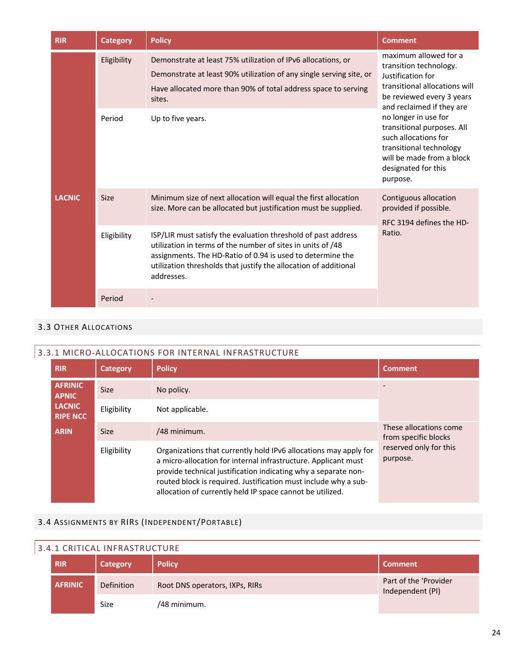| <b>RIR</b>                                                | <b>Category</b>                                                                                                                    | <b>Policy</b>                                                                                                                                                                                                                                                  | <b>Comment</b>                                                                                                                                                        |
|-----------------------------------------------------------|------------------------------------------------------------------------------------------------------------------------------------|----------------------------------------------------------------------------------------------------------------------------------------------------------------------------------------------------------------------------------------------------------------|-----------------------------------------------------------------------------------------------------------------------------------------------------------------------|
|                                                           | Eligibility                                                                                                                        | Demonstrate at least 75% utilization of IPv6 allocations, or<br>Demonstrate at least 90% utilization of any single serving site, or<br>Have allocated more than 90% of total address space to serving<br>sites.                                                | maximum allowed for a<br>transition technology.<br>Justification for<br>transitional allocations will<br>be reviewed every 3 years<br>and reclaimed if they are       |
|                                                           | Period                                                                                                                             | Up to five years.                                                                                                                                                                                                                                              | no longer in use for<br>transitional purposes. All<br>such allocations for<br>transitional technology<br>will be made from a block<br>designated for this<br>purpose. |
| <b>LACNIC</b><br><b>Size</b><br>Eligibility<br>addresses. | Minimum size of next allocation will equal the first allocation<br>size. More can be allocated but justification must be supplied. | Contiguous allocation<br>provided if possible.<br>RFC 3194 defines the HD-                                                                                                                                                                                     |                                                                                                                                                                       |
|                                                           |                                                                                                                                    | ISP/LIR must satisfy the evaluation threshold of past address<br>utilization in terms of the number of sites in units of /48<br>assignments. The HD-Ratio of 0.94 is used to determine the<br>utilization thresholds that justify the allocation of additional | Ratio.                                                                                                                                                                |
|                                                           | Period                                                                                                                             |                                                                                                                                                                                                                                                                |                                                                                                                                                                       |

#### 3.3 OTHER ALLOCATIONS

#### 3.3.1 MICRO-ALLOCATIONS FOR INTERNAL INFRASTRUCTURE

| <b>RIR</b>                       | <b>Category</b> | <b>Policy</b>                                                                                                                                                                                                                                                                                                                        | <b>Comment</b>                                 |
|----------------------------------|-----------------|--------------------------------------------------------------------------------------------------------------------------------------------------------------------------------------------------------------------------------------------------------------------------------------------------------------------------------------|------------------------------------------------|
| <b>AFRINIC</b><br><b>APNIC</b>   | <b>Size</b>     | No policy.                                                                                                                                                                                                                                                                                                                           |                                                |
| <b>LACNIC</b><br><b>RIPE NCC</b> | Eligibility     | Not applicable.                                                                                                                                                                                                                                                                                                                      |                                                |
| <b>ARIN</b>                      | <b>Size</b>     | /48 minimum.                                                                                                                                                                                                                                                                                                                         | These allocations come<br>from specific blocks |
|                                  | Eligibility     | Organizations that currently hold IPv6 allocations may apply for<br>a micro-allocation for internal infrastructure. Applicant must<br>provide technical justification indicating why a separate non-<br>routed block is required. Justification must include why a sub-<br>allocation of currently held IP space cannot be utilized. | reserved only for this<br>purpose.             |

## 3.4 ASSIGNMENTS BY RIRS (INDEPENDENT/PORTABLE)

# 3.4.1 CRITICAL INFRASTRUCTURE

| <b>RIR</b>     | Category    | <b>Policy</b>                  | <b>Comment</b>                            |
|----------------|-------------|--------------------------------|-------------------------------------------|
| <b>AFRINIC</b> | Definition  | Root DNS operators, IXPs, RIRs | Part of the 'Provider<br>Independent (PI) |
|                | <b>Size</b> | /48 minimum.                   |                                           |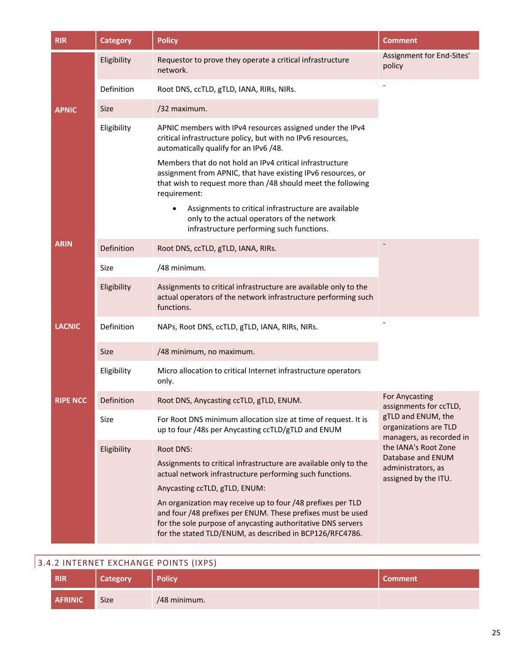| <b>RIR</b>      | <b>Category</b> | <b>Policy</b>                                                                                                                                                                                                                                          | <b>Comment</b>                                                          |
|-----------------|-----------------|--------------------------------------------------------------------------------------------------------------------------------------------------------------------------------------------------------------------------------------------------------|-------------------------------------------------------------------------|
|                 | Eligibility     | Requestor to prove they operate a critical infrastructure<br>network.                                                                                                                                                                                  | Assignment for End-Sites'<br>policy                                     |
|                 | Definition      | Root DNS, ccTLD, gTLD, IANA, RIRs, NIRs.                                                                                                                                                                                                               |                                                                         |
| <b>APNIC</b>    | <b>Size</b>     | /32 maximum.                                                                                                                                                                                                                                           |                                                                         |
|                 | Eligibility     | APNIC members with IPv4 resources assigned under the IPv4<br>critical infrastructure policy, but with no IPv6 resources,<br>automatically qualify for an IPv6 /48.                                                                                     |                                                                         |
|                 |                 | Members that do not hold an IPv4 critical infrastructure<br>assignment from APNIC, that have existing IPv6 resources, or<br>that wish to request more than /48 should meet the following<br>requirement:                                               |                                                                         |
|                 |                 | Assignments to critical infrastructure are available<br>only to the actual operators of the network<br>infrastructure performing such functions.                                                                                                       |                                                                         |
| <b>ARIN</b>     | Definition      | Root DNS, ccTLD, gTLD, IANA, RIRs.                                                                                                                                                                                                                     |                                                                         |
|                 | Size            | /48 minimum.                                                                                                                                                                                                                                           |                                                                         |
|                 | Eligibility     | Assignments to critical infrastructure are available only to the<br>actual operators of the network infrastructure performing such<br>functions.                                                                                                       |                                                                         |
| <b>LACNIC</b>   | Definition      | NAPs, Root DNS, ccTLD, gTLD, IANA, RIRs, NIRs.                                                                                                                                                                                                         |                                                                         |
|                 | <b>Size</b>     | /48 minimum, no maximum.                                                                                                                                                                                                                               |                                                                         |
|                 | Eligibility     | Micro allocation to critical Internet infrastructure operators<br>only.                                                                                                                                                                                |                                                                         |
| <b>RIPE NCC</b> | Definition      | Root DNS, Anycasting ccTLD, gTLD, ENUM.                                                                                                                                                                                                                | For Anycasting<br>assignments for ccTLD,                                |
|                 | Size            | For Root DNS minimum allocation size at time of request. It is<br>up to four /48s per Anycasting ccTLD/gTLD and ENUM                                                                                                                                   | gTLD and ENUM, the<br>organizations are TLD<br>managers, as recorded in |
|                 | Eligibility     | Root DNS:                                                                                                                                                                                                                                              | the IANA's Root Zone<br>Database and ENUM                               |
|                 |                 | Assignments to critical infrastructure are available only to the<br>actual network infrastructure performing such functions.<br>Anycasting ccTLD, gTLD, ENUM:                                                                                          | administrators, as<br>assigned by the ITU.                              |
|                 |                 | An organization may receive up to four /48 prefixes per TLD<br>and four /48 prefixes per ENUM. These prefixes must be used<br>for the sole purpose of anycasting authoritative DNS servers<br>for the stated TLD/ENUM, as described in BCP126/RFC4786. |                                                                         |

r

| <b>RIR</b>     | <b>Category</b> | <b>Policy</b> | Comment' |
|----------------|-----------------|---------------|----------|
| <b>AFRINIC</b> | Size            | /48 minimum.  |          |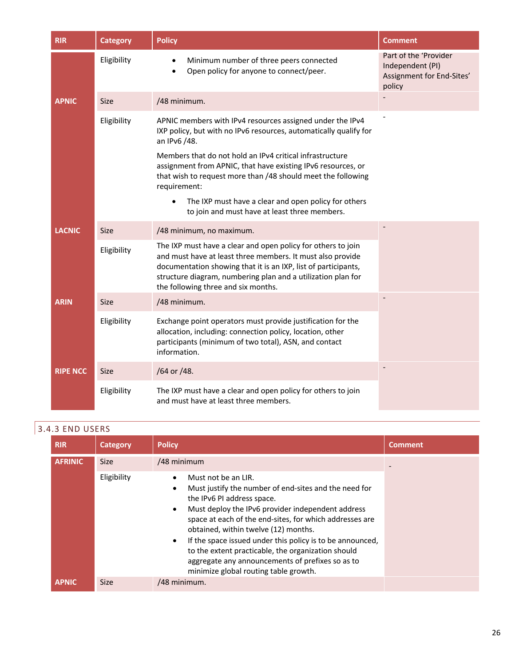| <b>RIR</b>      | <b>Category</b> | <b>Policy</b>                                                                                                                                                                                                                                                                                                                                                                                                                                                                    | <b>Comment</b>                                                                   |
|-----------------|-----------------|----------------------------------------------------------------------------------------------------------------------------------------------------------------------------------------------------------------------------------------------------------------------------------------------------------------------------------------------------------------------------------------------------------------------------------------------------------------------------------|----------------------------------------------------------------------------------|
|                 | Eligibility     | Minimum number of three peers connected<br>Open policy for anyone to connect/peer.                                                                                                                                                                                                                                                                                                                                                                                               | Part of the 'Provider<br>Independent (PI)<br>Assignment for End-Sites'<br>policy |
| <b>APNIC</b>    | <b>Size</b>     | /48 minimum.                                                                                                                                                                                                                                                                                                                                                                                                                                                                     |                                                                                  |
|                 | Eligibility     | APNIC members with IPv4 resources assigned under the IPv4<br>IXP policy, but with no IPv6 resources, automatically qualify for<br>an IPv6 /48.<br>Members that do not hold an IPv4 critical infrastructure<br>assignment from APNIC, that have existing IPv6 resources, or<br>that wish to request more than /48 should meet the following<br>requirement:<br>The IXP must have a clear and open policy for others<br>$\bullet$<br>to join and must have at least three members. |                                                                                  |
| <b>LACNIC</b>   | <b>Size</b>     | /48 minimum, no maximum.                                                                                                                                                                                                                                                                                                                                                                                                                                                         |                                                                                  |
|                 | Eligibility     | The IXP must have a clear and open policy for others to join<br>and must have at least three members. It must also provide<br>documentation showing that it is an IXP, list of participants,<br>structure diagram, numbering plan and a utilization plan for<br>the following three and six months.                                                                                                                                                                              |                                                                                  |
| <b>ARIN</b>     | <b>Size</b>     | /48 minimum.                                                                                                                                                                                                                                                                                                                                                                                                                                                                     |                                                                                  |
|                 | Eligibility     | Exchange point operators must provide justification for the<br>allocation, including: connection policy, location, other<br>participants (minimum of two total), ASN, and contact<br>information.                                                                                                                                                                                                                                                                                |                                                                                  |
| <b>RIPE NCC</b> | <b>Size</b>     | /64 or /48.                                                                                                                                                                                                                                                                                                                                                                                                                                                                      |                                                                                  |
|                 | Eligibility     | The IXP must have a clear and open policy for others to join<br>and must have at least three members.                                                                                                                                                                                                                                                                                                                                                                            |                                                                                  |

# 3.4.3 END USERS

| <b>RIR</b>     | Category    | <b>Policy</b>                                                                                                                                                                                                                                                                                                                                                                                                                                                                                             | <b>Comment</b> |
|----------------|-------------|-----------------------------------------------------------------------------------------------------------------------------------------------------------------------------------------------------------------------------------------------------------------------------------------------------------------------------------------------------------------------------------------------------------------------------------------------------------------------------------------------------------|----------------|
| <b>AFRINIC</b> | <b>Size</b> | /48 minimum                                                                                                                                                                                                                                                                                                                                                                                                                                                                                               |                |
|                | Eligibility | Must not be an LIR.<br>Must justify the number of end-sites and the need for<br>٠<br>the IPv6 PI address space.<br>Must deploy the IPv6 provider independent address<br>$\bullet$<br>space at each of the end-sites, for which addresses are<br>obtained, within twelve (12) months.<br>If the space issued under this policy is to be announced,<br>٠<br>to the extent practicable, the organization should<br>aggregate any announcements of prefixes so as to<br>minimize global routing table growth. |                |
| <b>APNIC</b>   | Size        | /48 minimum.                                                                                                                                                                                                                                                                                                                                                                                                                                                                                              |                |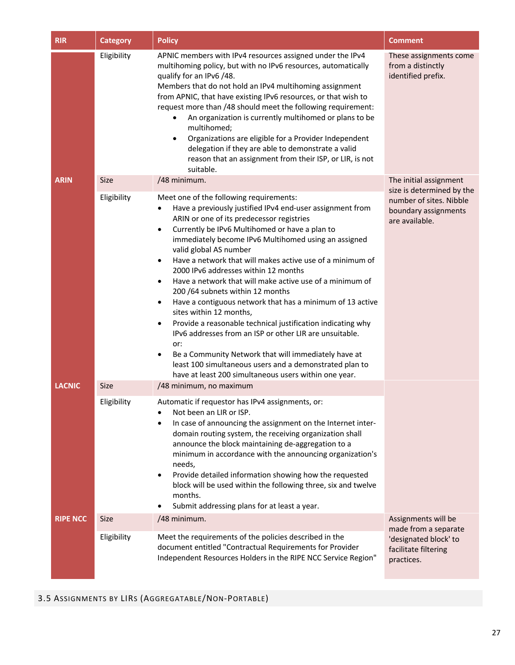| <b>RIR</b>      | <b>Category</b> | <b>Policy</b>                                                                                                                                                                                                                                                                                                                                                                                                                                                                                                                                                                                                                                                                                                                                                                                                                                                                                                                                         | <b>Comment</b>                                                                                 |
|-----------------|-----------------|-------------------------------------------------------------------------------------------------------------------------------------------------------------------------------------------------------------------------------------------------------------------------------------------------------------------------------------------------------------------------------------------------------------------------------------------------------------------------------------------------------------------------------------------------------------------------------------------------------------------------------------------------------------------------------------------------------------------------------------------------------------------------------------------------------------------------------------------------------------------------------------------------------------------------------------------------------|------------------------------------------------------------------------------------------------|
|                 | Eligibility     | APNIC members with IPv4 resources assigned under the IPv4<br>multihoming policy, but with no IPv6 resources, automatically<br>qualify for an IPv6 /48.<br>Members that do not hold an IPv4 multihoming assignment<br>from APNIC, that have existing IPv6 resources, or that wish to<br>request more than /48 should meet the following requirement:<br>An organization is currently multihomed or plans to be<br>multihomed;<br>Organizations are eligible for a Provider Independent<br>$\bullet$<br>delegation if they are able to demonstrate a valid<br>reason that an assignment from their ISP, or LIR, is not<br>suitable.                                                                                                                                                                                                                                                                                                                     | These assignments come<br>from a distinctly<br>identified prefix.                              |
| <b>ARIN</b>     | <b>Size</b>     | /48 minimum.                                                                                                                                                                                                                                                                                                                                                                                                                                                                                                                                                                                                                                                                                                                                                                                                                                                                                                                                          | The initial assignment                                                                         |
|                 | Eligibility     | Meet one of the following requirements:<br>Have a previously justified IPv4 end-user assignment from<br>ARIN or one of its predecessor registries<br>Currently be IPv6 Multihomed or have a plan to<br>$\bullet$<br>immediately become IPv6 Multihomed using an assigned<br>valid global AS number<br>Have a network that will makes active use of a minimum of<br>$\bullet$<br>2000 IPv6 addresses within 12 months<br>Have a network that will make active use of a minimum of<br>$\bullet$<br>200 /64 subnets within 12 months<br>Have a contiguous network that has a minimum of 13 active<br>٠<br>sites within 12 months,<br>Provide a reasonable technical justification indicating why<br>٠<br>IPv6 addresses from an ISP or other LIR are unsuitable.<br>or:<br>Be a Community Network that will immediately have at<br>٠<br>least 100 simultaneous users and a demonstrated plan to<br>have at least 200 simultaneous users within one year. | size is determined by the<br>number of sites. Nibble<br>boundary assignments<br>are available. |
| <b>LACNIC</b>   | <b>Size</b>     | /48 minimum, no maximum                                                                                                                                                                                                                                                                                                                                                                                                                                                                                                                                                                                                                                                                                                                                                                                                                                                                                                                               |                                                                                                |
|                 | Eligibility     | Automatic if requestor has IPv4 assignments, or:<br>Not been an LIR or ISP.<br>In case of announcing the assignment on the Internet inter-<br>domain routing system, the receiving organization shall<br>announce the block maintaining de-aggregation to a<br>minimum in accordance with the announcing organization's<br>needs,<br>Provide detailed information showing how the requested<br>$\bullet$<br>block will be used within the following three, six and twelve<br>months.<br>Submit addressing plans for at least a year.                                                                                                                                                                                                                                                                                                                                                                                                                  |                                                                                                |
| <b>RIPE NCC</b> | <b>Size</b>     | /48 minimum.                                                                                                                                                                                                                                                                                                                                                                                                                                                                                                                                                                                                                                                                                                                                                                                                                                                                                                                                          | Assignments will be                                                                            |
|                 | Eligibility     | Meet the requirements of the policies described in the<br>document entitled "Contractual Requirements for Provider<br>Independent Resources Holders in the RIPE NCC Service Region"                                                                                                                                                                                                                                                                                                                                                                                                                                                                                                                                                                                                                                                                                                                                                                   | made from a separate<br>'designated block' to<br>facilitate filtering<br>practices.            |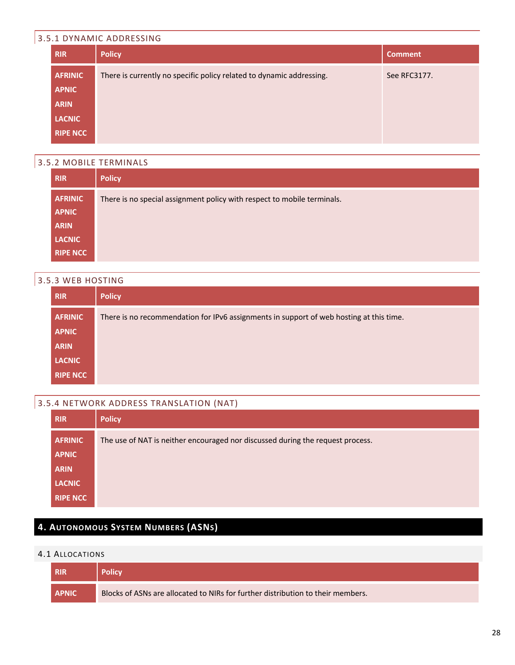## 3.5.1 DYNAMIC ADDRESSING

| <b>RIR</b>      | <b>Policy</b>                                                        | <b>Comment</b> |
|-----------------|----------------------------------------------------------------------|----------------|
| <b>AFRINIC</b>  | There is currently no specific policy related to dynamic addressing. | See RFC3177.   |
| <b>APNIC</b>    |                                                                      |                |
| <b>ARIN</b>     |                                                                      |                |
| <b>LACNIC</b>   |                                                                      |                |
| <b>RIPE NCC</b> |                                                                      |                |

## 3.5.2 MOBILE TERMINALS

| <b>RIR</b>      | <b>Policy</b>                                                           |
|-----------------|-------------------------------------------------------------------------|
| <b>AFRINIC</b>  | There is no special assignment policy with respect to mobile terminals. |
| <b>APNIC</b>    |                                                                         |
| <b>ARIN</b>     |                                                                         |
| <b>LACNIC</b>   |                                                                         |
| <b>RIPE NCC</b> |                                                                         |

#### 3.5.3 WEB HOSTING

| <b>RIR</b>      | <b>Policy</b>                                                                           |
|-----------------|-----------------------------------------------------------------------------------------|
| <b>AFRINIC</b>  | There is no recommendation for IPv6 assignments in support of web hosting at this time. |
| <b>APNIC</b>    |                                                                                         |
| <b>ARIN</b>     |                                                                                         |
| <b>LACNIC</b>   |                                                                                         |
| <b>RIPE NCC</b> |                                                                                         |

## 3.5.4 NETWORK ADDRESS TRANSLATION (NAT)

| <b>RIR</b>      | <b>Policy</b>                                                                  |
|-----------------|--------------------------------------------------------------------------------|
| <b>AFRINIC</b>  | The use of NAT is neither encouraged nor discussed during the request process. |
| <b>APNIC</b>    |                                                                                |
| <b>ARIN</b>     |                                                                                |
| <b>LACNIC</b>   |                                                                                |
| <b>RIPE NCC</b> |                                                                                |

## **4. AUTONOMOUS SYSTEM NUMBERS (ASNS)**

#### 4.1 ALLOCATIONS

| <b>RIR</b>   | <b>Policy</b>                                                                   |
|--------------|---------------------------------------------------------------------------------|
| <b>APNIC</b> | Blocks of ASNs are allocated to NIRs for further distribution to their members. |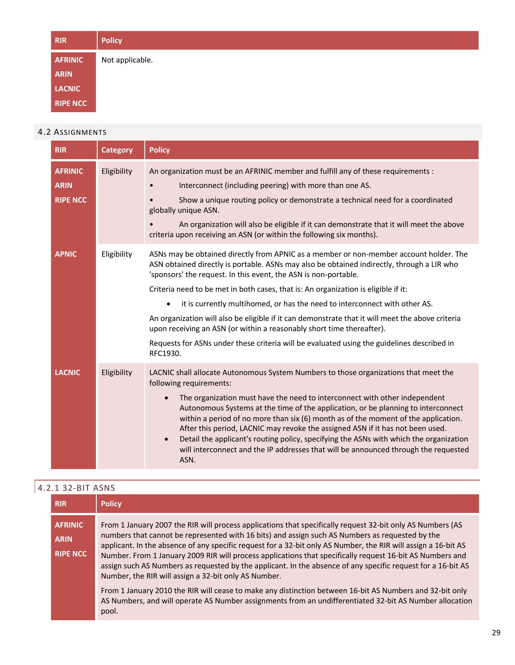| <b>RIR</b>      | <b>Policy</b>   |
|-----------------|-----------------|
| <b>AFRINIC</b>  | Not applicable. |
| <b>ARIN</b>     |                 |
| <b>LACNIC</b>   |                 |
| <b>RIPE NCC</b> |                 |

#### 4.2 ASSIGNMENTS

| <b>RIR</b>                                       | <b>Category</b> | <b>Policy</b>                                                                                                                                                                                                                                                                                                                                                                                                                                                                                                                                                                                                                                                                                                                   |
|--------------------------------------------------|-----------------|---------------------------------------------------------------------------------------------------------------------------------------------------------------------------------------------------------------------------------------------------------------------------------------------------------------------------------------------------------------------------------------------------------------------------------------------------------------------------------------------------------------------------------------------------------------------------------------------------------------------------------------------------------------------------------------------------------------------------------|
| <b>AFRINIC</b><br><b>ARIN</b><br><b>RIPE NCC</b> | Eligibility     | An organization must be an AFRINIC member and fulfill any of these requirements :<br>Interconnect (including peering) with more than one AS.<br>Show a unique routing policy or demonstrate a technical need for a coordinated<br>globally unique ASN.<br>An organization will also be eligible if it can demonstrate that it will meet the above<br>criteria upon receiving an ASN (or within the following six months).                                                                                                                                                                                                                                                                                                       |
| <b>APNIC</b>                                     | Eligibility     | ASNs may be obtained directly from APNIC as a member or non-member account holder. The<br>ASN obtained directly is portable. ASNs may also be obtained indirectly, through a LIR who<br>'sponsors' the request. In this event, the ASN is non-portable.<br>Criteria need to be met in both cases, that is: An organization is eligible if it:<br>it is currently multihomed, or has the need to interconnect with other AS.<br>$\bullet$<br>An organization will also be eligible if it can demonstrate that it will meet the above criteria<br>upon receiving an ASN (or within a reasonably short time thereafter).<br>Requests for ASNs under these criteria will be evaluated using the guidelines described in<br>RFC1930. |
| <b>LACNIC</b>                                    | Eligibility     | LACNIC shall allocate Autonomous System Numbers to those organizations that meet the<br>following requirements:<br>The organization must have the need to interconnect with other independent<br>Autonomous Systems at the time of the application, or be planning to interconnect<br>within a period of no more than six (6) month as of the moment of the application.<br>After this period, LACNIC may revoke the assigned ASN if it has not been used.<br>Detail the applicant's routing policy, specifying the ASNs with which the organization<br>$\bullet$<br>will interconnect and the IP addresses that will be announced through the requested<br>ASN.                                                                |

| 4.2.1 32-BIT ASNS                                |                                                                                                                                                                                                                                                                                                                                                                                                                                                                                                                                                                                                                      |  |
|--------------------------------------------------|----------------------------------------------------------------------------------------------------------------------------------------------------------------------------------------------------------------------------------------------------------------------------------------------------------------------------------------------------------------------------------------------------------------------------------------------------------------------------------------------------------------------------------------------------------------------------------------------------------------------|--|
| <b>RIR</b>                                       | <b>Policy</b>                                                                                                                                                                                                                                                                                                                                                                                                                                                                                                                                                                                                        |  |
| <b>AFRINIC</b><br><b>ARIN</b><br><b>RIPE NCC</b> | From 1 January 2007 the RIR will process applications that specifically request 32-bit only AS Numbers (AS<br>numbers that cannot be represented with 16 bits) and assign such AS Numbers as requested by the<br>applicant. In the absence of any specific request for a 32-bit only AS Number, the RIR will assign a 16-bit AS<br>Number. From 1 January 2009 RIR will process applications that specifically request 16-bit AS Numbers and<br>assign such AS Numbers as requested by the applicant. In the absence of any specific request for a 16-bit AS<br>Number, the RIR will assign a 32-bit only AS Number. |  |
|                                                  | From 1 January 2010 the RIR will cease to make any distinction between 16-bit AS Numbers and 32-bit only<br>AS Numbers, and will operate AS Number assignments from an undifferentiated 32-bit AS Number allocation<br>pool.                                                                                                                                                                                                                                                                                                                                                                                         |  |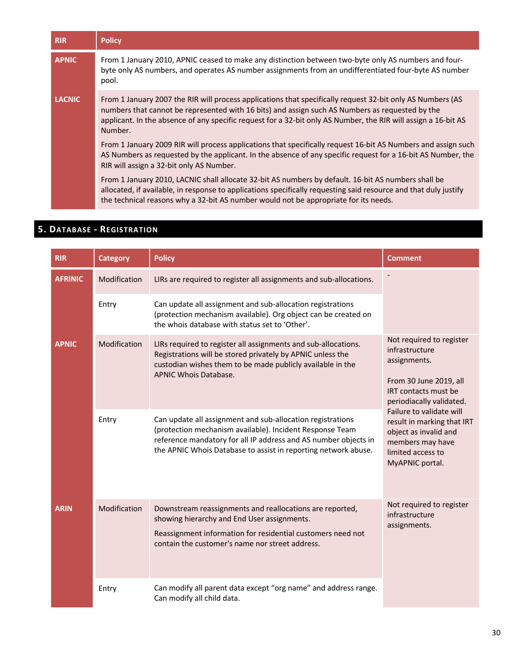| <b>RIR</b>    | <b>Policy</b>                                                                                                                                                                                                                                                                                                                              |
|---------------|--------------------------------------------------------------------------------------------------------------------------------------------------------------------------------------------------------------------------------------------------------------------------------------------------------------------------------------------|
| <b>APNIC</b>  | From 1 January 2010, APNIC ceased to make any distinction between two-byte only AS numbers and four-<br>byte only AS numbers, and operates AS number assignments from an undifferentiated four-byte AS number<br>pool.                                                                                                                     |
| <b>LACNIC</b> | From 1 January 2007 the RIR will process applications that specifically request 32-bit only AS Numbers (AS<br>numbers that cannot be represented with 16 bits) and assign such AS Numbers as requested by the<br>applicant. In the absence of any specific request for a 32-bit only AS Number, the RIR will assign a 16-bit AS<br>Number. |
|               | From 1 January 2009 RIR will process applications that specifically request 16-bit AS Numbers and assign such<br>AS Numbers as requested by the applicant. In the absence of any specific request for a 16-bit AS Number, the<br>RIR will assign a 32-bit only AS Number.                                                                  |
|               | From 1 January 2010, LACNIC shall allocate 32-bit AS numbers by default. 16-bit AS numbers shall be<br>allocated, if available, in response to applications specifically requesting said resource and that duly justify<br>the technical reasons why a 32-bit AS number would not be appropriate for its needs.                            |

## **5. DATABASE - REGISTRATION**

| <b>RIR</b>     | <b>Category</b> | <b>Policy</b>                                                                                                                                                                                                                                               | <b>Comment</b>                                                                                                                                                                                                                                                                                 |
|----------------|-----------------|-------------------------------------------------------------------------------------------------------------------------------------------------------------------------------------------------------------------------------------------------------------|------------------------------------------------------------------------------------------------------------------------------------------------------------------------------------------------------------------------------------------------------------------------------------------------|
| <b>AFRINIC</b> | Modification    | LIRs are required to register all assignments and sub-allocations.                                                                                                                                                                                          |                                                                                                                                                                                                                                                                                                |
|                | Entry           | Can update all assignment and sub-allocation registrations<br>(protection mechanism available). Org object can be created on<br>the whois database with status set to 'Other'.                                                                              |                                                                                                                                                                                                                                                                                                |
| <b>APNIC</b>   | Modification    | LIRs required to register all assignments and sub-allocations.<br>Registrations will be stored privately by APNIC unless the<br>custodian wishes them to be made publicly available in the<br>APNIC Whois Database.                                         | Not required to register<br>infrastructure<br>assignments.<br>From 30 June 2019, all<br><b>IRT</b> contacts must be<br>periodiacally validated.<br>Failure to validate will<br>result in marking that IRT<br>object as invalid and<br>members may have<br>limited access to<br>MyAPNIC portal. |
|                | Entry           | Can update all assignment and sub-allocation registrations<br>(protection mechanism available). Incident Response Team<br>reference mandatory for all IP address and AS number objects in<br>the APNIC Whois Database to assist in reporting network abuse. |                                                                                                                                                                                                                                                                                                |
| <b>ARIN</b>    | Modification    | Downstream reassignments and reallocations are reported,<br>showing hierarchy and End User assignments.<br>Reassignment information for residential customers need not<br>contain the customer's name nor street address.                                   | Not required to register<br>infrastructure<br>assignments.                                                                                                                                                                                                                                     |
|                | Entry           | Can modify all parent data except "org name" and address range.<br>Can modify all child data.                                                                                                                                                               |                                                                                                                                                                                                                                                                                                |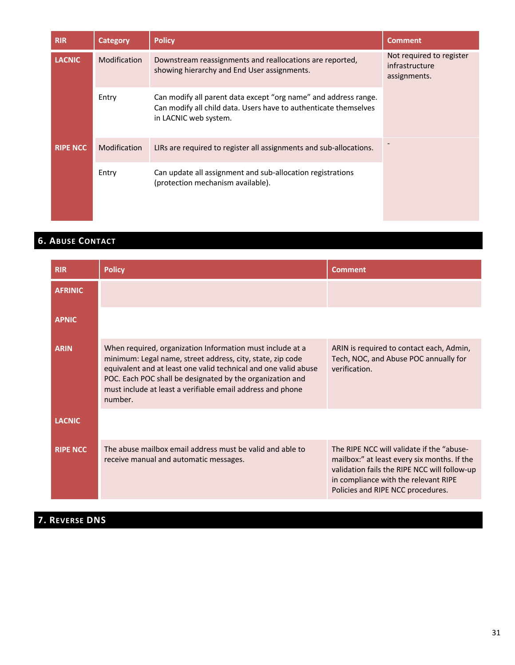| <b>RIR</b>      | <b>Category</b>     | <b>Policy</b>                                                                                                                                                | <b>Comment</b>                                             |
|-----------------|---------------------|--------------------------------------------------------------------------------------------------------------------------------------------------------------|------------------------------------------------------------|
| <b>LACNIC</b>   | <b>Modification</b> | Downstream reassignments and reallocations are reported,<br>showing hierarchy and End User assignments.                                                      | Not required to register<br>infrastructure<br>assignments. |
|                 | Entry               | Can modify all parent data except "org name" and address range.<br>Can modify all child data. Users have to authenticate themselves<br>in LACNIC web system. |                                                            |
| <b>RIPE NCC</b> | <b>Modification</b> | LIRs are required to register all assignments and sub-allocations.                                                                                           |                                                            |
|                 | Entry               | Can update all assignment and sub-allocation registrations<br>(protection mechanism available).                                                              |                                                            |

## **6. ABUSE CONTACT**

| <b>RIR</b>      | <b>Policy</b>                                                                                                                                                                                                                                                                                                                    | Comment                                                                                                                                                                                                               |
|-----------------|----------------------------------------------------------------------------------------------------------------------------------------------------------------------------------------------------------------------------------------------------------------------------------------------------------------------------------|-----------------------------------------------------------------------------------------------------------------------------------------------------------------------------------------------------------------------|
| <b>AFRINIC</b>  |                                                                                                                                                                                                                                                                                                                                  |                                                                                                                                                                                                                       |
| <b>APNIC</b>    |                                                                                                                                                                                                                                                                                                                                  |                                                                                                                                                                                                                       |
| <b>ARIN</b>     | When required, organization Information must include at a<br>minimum: Legal name, street address, city, state, zip code<br>equivalent and at least one valid technical and one valid abuse<br>POC. Each POC shall be designated by the organization and<br>must include at least a verifiable email address and phone<br>number. | ARIN is required to contact each, Admin,<br>Tech, NOC, and Abuse POC annually for<br>verification.                                                                                                                    |
| <b>LACNIC</b>   |                                                                                                                                                                                                                                                                                                                                  |                                                                                                                                                                                                                       |
| <b>RIPE NCC</b> | The abuse mailbox email address must be valid and able to<br>receive manual and automatic messages.                                                                                                                                                                                                                              | The RIPE NCC will validate if the "abuse-<br>mailbox:" at least every six months. If the<br>validation fails the RIPE NCC will follow-up<br>in compliance with the relevant RIPE<br>Policies and RIPE NCC procedures. |

# **7. REVERSE DNS**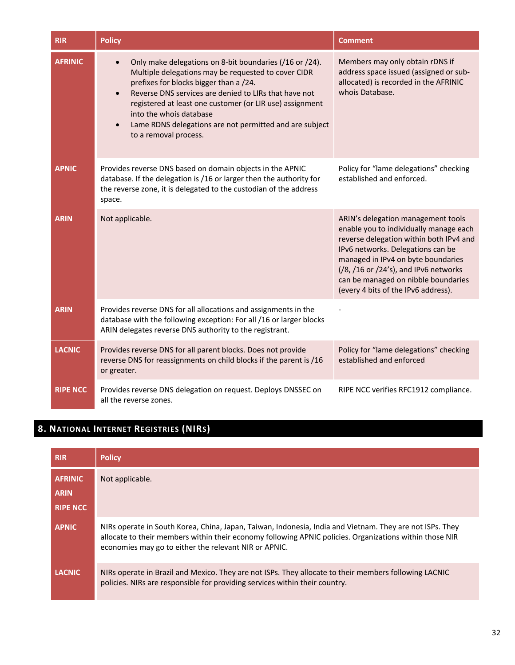| <b>RIR</b>      | <b>Policy</b>                                                                                                                                                                                                                                                                                                                                                                                                                       | <b>Comment</b>                                                                                                                                                                                                                                                                                                            |
|-----------------|-------------------------------------------------------------------------------------------------------------------------------------------------------------------------------------------------------------------------------------------------------------------------------------------------------------------------------------------------------------------------------------------------------------------------------------|---------------------------------------------------------------------------------------------------------------------------------------------------------------------------------------------------------------------------------------------------------------------------------------------------------------------------|
| <b>AFRINIC</b>  | Only make delegations on 8-bit boundaries (/16 or /24).<br>$\bullet$<br>Multiple delegations may be requested to cover CIDR<br>prefixes for blocks bigger than a /24.<br>Reverse DNS services are denied to LIRs that have not<br>$\bullet$<br>registered at least one customer (or LIR use) assignment<br>into the whois database<br>Lame RDNS delegations are not permitted and are subject<br>$\bullet$<br>to a removal process. | Members may only obtain rDNS if<br>address space issued (assigned or sub-<br>allocated) is recorded in the AFRINIC<br>whois Database.                                                                                                                                                                                     |
| <b>APNIC</b>    | Provides reverse DNS based on domain objects in the APNIC<br>database. If the delegation is /16 or larger then the authority for<br>the reverse zone, it is delegated to the custodian of the address<br>space.                                                                                                                                                                                                                     | Policy for "lame delegations" checking<br>established and enforced.                                                                                                                                                                                                                                                       |
| <b>ARIN</b>     | Not applicable.                                                                                                                                                                                                                                                                                                                                                                                                                     | ARIN's delegation management tools<br>enable you to individually manage each<br>reverse delegation within both IPv4 and<br>IPv6 networks. Delegations can be<br>managed in IPv4 on byte boundaries<br>(/8, /16 or /24's), and IPv6 networks<br>can be managed on nibble boundaries<br>(every 4 bits of the IPv6 address). |
| <b>ARIN</b>     | Provides reverse DNS for all allocations and assignments in the<br>database with the following exception: For all /16 or larger blocks<br>ARIN delegates reverse DNS authority to the registrant.                                                                                                                                                                                                                                   |                                                                                                                                                                                                                                                                                                                           |
| <b>LACNIC</b>   | Provides reverse DNS for all parent blocks. Does not provide<br>reverse DNS for reassignments on child blocks if the parent is /16<br>or greater.                                                                                                                                                                                                                                                                                   | Policy for "lame delegations" checking<br>established and enforced                                                                                                                                                                                                                                                        |
| <b>RIPE NCC</b> | Provides reverse DNS delegation on request. Deploys DNSSEC on<br>all the reverse zones.                                                                                                                                                                                                                                                                                                                                             | RIPE NCC verifies RFC1912 compliance.                                                                                                                                                                                                                                                                                     |

# **8. NATIONAL INTERNET REGISTRIES (NIRS)**

| <b>RIR</b>                                       | <b>Policy</b>                                                                                                                                                                                                                                                                |
|--------------------------------------------------|------------------------------------------------------------------------------------------------------------------------------------------------------------------------------------------------------------------------------------------------------------------------------|
| <b>AFRINIC</b><br><b>ARIN</b><br><b>RIPE NCC</b> | Not applicable.                                                                                                                                                                                                                                                              |
| <b>APNIC</b>                                     | NIRs operate in South Korea, China, Japan, Taiwan, Indonesia, India and Vietnam. They are not ISPs. They<br>allocate to their members within their economy following APNIC policies. Organizations within those NIR<br>economies may go to either the relevant NIR or APNIC. |
| <b>LACNIC</b>                                    | NIRs operate in Brazil and Mexico. They are not ISPs. They allocate to their members following LACNIC<br>policies. NIRs are responsible for providing services within their country.                                                                                         |